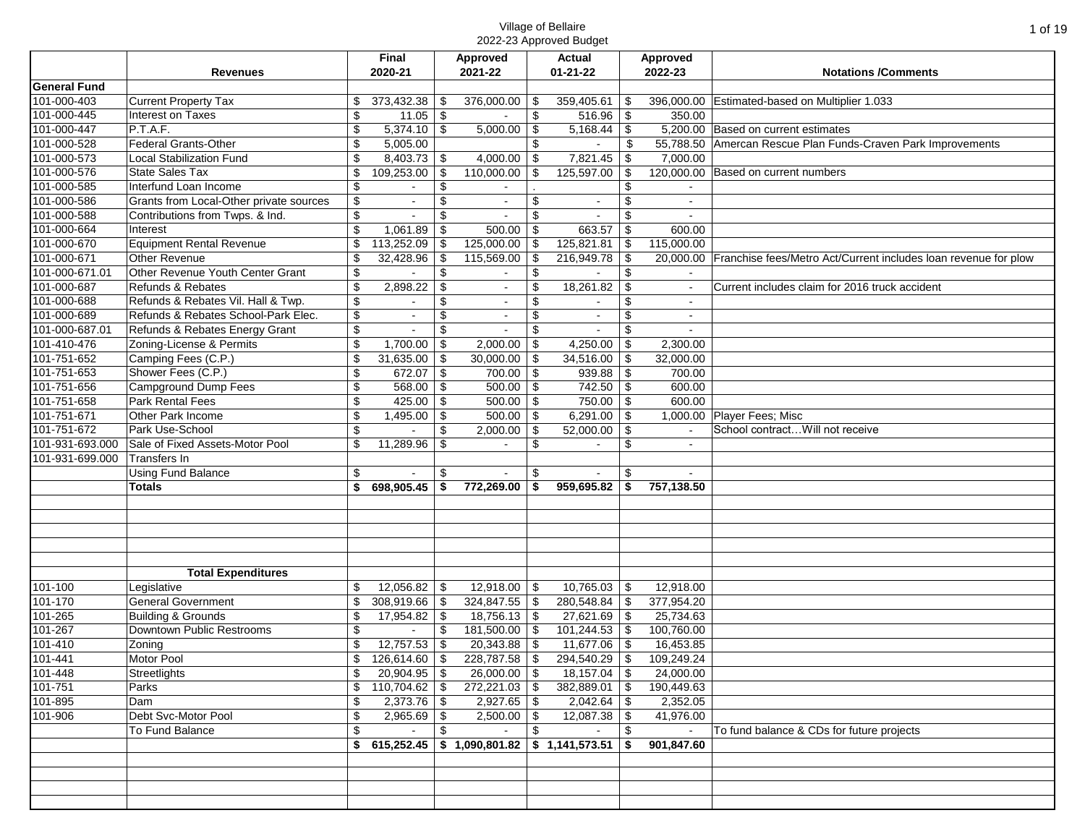|                     |                                         | Final                          |               | Approved                     |            | <b>Actual</b>                 | Approved           |                                                                 |
|---------------------|-----------------------------------------|--------------------------------|---------------|------------------------------|------------|-------------------------------|--------------------|-----------------------------------------------------------------|
|                     | <b>Revenues</b>                         | 2020-21                        |               | 2021-22                      |            | $01 - 21 - 22$                | 2022-23            | <b>Notations /Comments</b>                                      |
| <b>General Fund</b> |                                         |                                |               |                              |            |                               |                    |                                                                 |
| 101-000-403         | Current Property Tax                    | 373,432.38<br>S                | \$            | 376,000.00                   |            | 359,405.61                    | \$                 | 396,000.00 Estimated-based on Multiplier 1.033                  |
| 101-000-445         | Interest on Taxes                       | $11.05$ \$<br>\$               |               | $\sim$                       | \$         | $516.96$ \\$                  | 350.00             |                                                                 |
| 101-000-447         | P.T.A.F.                                | 5,374.10<br>\$                 | -\$           | 5,000.00                     | \$         | 5,168.44                      | \$                 | 5,200.00 Based on current estimates                             |
| 101-000-528         | Federal Grants-Other                    | \$<br>5,005.00                 |               |                              | \$         |                               | \$<br>55,788.50    | Amercan Rescue Plan Funds-Craven Park Improvements              |
| 101-000-573         | <b>Local Stabilization Fund</b>         | \$<br>8,403.73                 | <b>S</b>      | 4,000.00                     | \$         | 7,821.45                      | \$<br>7,000.00     |                                                                 |
| 101-000-576         | State Sales Tax                         | \$<br>109,253.00               | $\mathbf{\$}$ | 110,000.00                   | \$         | 125,597.00                    | \$                 | 120,000.00 Based on current numbers                             |
| 101-000-585         | Interfund Loan Income                   | \$                             | \$            |                              |            |                               | \$                 |                                                                 |
| 101-000-586         | Grants from Local-Other private sources | \$<br>$\blacksquare$           | \$            | $\blacksquare$               | \$         | $\sim$                        | \$<br>$\sim$       |                                                                 |
| 101-000-588         | Contributions from Twps. & Ind.         | \$                             | \$            |                              | \$         |                               | \$                 |                                                                 |
| 101-000-664         | Interest                                | \$<br>1,061.89                 | \$            | 500.00                       | \$         | 663.57                        | \$<br>600.00       |                                                                 |
| 101-000-670         | Equipment Rental Revenue                | \$<br>113,252.09               | \$            | 125,000.00                   | \$         | 125,821.81                    | \$<br>115,000.00   |                                                                 |
| 101-000-671         | Other Revenue                           | S.<br>32,428.96                | \$            | 115,569.00                   | \$         | 216,949.78                    | \$<br>20,000.00    | Franchise fees/Metro Act/Current includes loan revenue for plow |
| 101-000-671.01      | Other Revenue Youth Center Grant        | \$                             | \$            |                              | \$         |                               | \$                 |                                                                 |
| 101-000-687         | Refunds & Rebates                       | 2,898.22<br>\$                 | \$            | $\sim$                       | \$         | 18,261.82                     | \$<br>$\mathbf{r}$ | Current includes claim for 2016 truck accident                  |
| 101-000-688         | Refunds & Rebates Vil. Hall & Twp.      | \$                             | \$            | $\tilde{\phantom{a}}$        | \$         |                               | \$<br>$\sim$       |                                                                 |
| 101-000-689         | Refunds & Rebates School-Park Elec.     | \$<br>$\blacksquare$           | \$            | $\overline{\phantom{a}}$     | \$         | $\blacksquare$                | \$<br>$\sim$       |                                                                 |
| 101-000-687.01      | Refunds & Rebates Energy Grant          | \$<br>$\mathbf{r}$             | \$            | $\tilde{\phantom{a}}$        | \$         | $\sim$                        | \$<br>$\mathbf{r}$ |                                                                 |
| 101-410-476         | Zoning-License & Permits                | \$<br>1,700.00                 | \$            | 2,000.00                     | \$         | 4,250.00                      | \$<br>2,300.00     |                                                                 |
| 101-751-652         | Camping Fees (C.P.)                     | \$<br>31,635.00                | -\$           | 30,000.00                    | \$         | 34,516.00                     | \$<br>32,000.00    |                                                                 |
| 101-751-653         | Shower Fees (C.P.)                      | 672.07<br>\$                   | \$            | 700.00                       | \$         | 939.88                        | \$<br>700.00       |                                                                 |
| 101-751-656         | <b>Campground Dump Fees</b>             | $568.00$ \$<br>\$              |               | 500.00                       | $\sqrt{3}$ | $742.50$ \$                   | 600.00             |                                                                 |
| 101-751-658         | Park Rental Fees                        | 425.00<br>\$                   | \$            | 500.00                       | -\$        | 750.00                        | \$<br>600.00       |                                                                 |
| 101-751-671         | Other Park Income                       | \$<br>$1,495.00$ \$            |               | 500.00                       | \$         | 6,291.00                      | \$                 | 1,000.00 Player Fees; Misc                                      |
| 101-751-672         | Park Use-School                         | \$                             | \$            | 2,000.00                     | \$         | 52,000.00                     | \$<br>$\omega$     | School contract Will not receive                                |
| 101-931-693.000     | Sale of Fixed Assets-Motor Pool         | 11,289.96                      | \$            | $\sim$                       | \$         | $\sim$                        | \$<br>$\sim$       |                                                                 |
| 101-931-699.000     | Transfers In                            |                                |               |                              |            |                               |                    |                                                                 |
|                     | <b>Using Fund Balance</b>               | \$                             | \$            | $\sim$                       | \$         | $\sim$                        | \$<br>$\sim$       |                                                                 |
|                     | <b>Totals</b>                           | 698,905.45<br>\$               | \$            | 772,269.00                   |            | 959,695.82                    | \$<br>757,138.50   |                                                                 |
|                     |                                         |                                |               |                              |            |                               |                    |                                                                 |
|                     |                                         |                                |               |                              |            |                               |                    |                                                                 |
|                     |                                         |                                |               |                              |            |                               |                    |                                                                 |
|                     |                                         |                                |               |                              |            |                               |                    |                                                                 |
|                     |                                         |                                |               |                              |            |                               |                    |                                                                 |
|                     | <b>Total Expenditures</b>               |                                |               |                              |            |                               |                    |                                                                 |
| 101-100             | Legislative                             | \$<br>12,056.82                | $\vert$ \$    | 12,918.00                    | \$         | 10,765.03                     | \$<br>12,918.00    |                                                                 |
| $101 - 170$         | <b>General Government</b>               | \$<br>308,919.66               | \$            | 324,847.55                   | \$         | 280,548.84                    | \$<br>377,954.20   |                                                                 |
| 101-265             | <b>Building &amp; Grounds</b>           | S<br>17,954.82                 | \$            | 18,756.13                    | <b>\$</b>  | $27,621.69$ \$                | 25,734.63          |                                                                 |
| 101-267             | Downtown Public Restrooms               | \$                             | \$            | 181,500.00                   | -\$        | 101,244.53                    | \$<br>100,760.00   |                                                                 |
| 101-410             | Zoning                                  | 12,757.53<br>S                 | $\sqrt{3}$    | 20,343.88                    | -\$        | $11,677.06$ \\$               | 16,453.85          |                                                                 |
| 101-441             | Motor Pool                              | $126,614.60$ \$<br>\$          |               | 228,787.58                   | $\sqrt{3}$ | $294,540.29$ \$               | 109,249.24         |                                                                 |
| 101-448             | Streetlights                            | $20,904.95$ \$<br>\$           |               | $26,000.00$ \$               |            |                               | 24,000.00          |                                                                 |
| $101 - 751$         | Parks                                   | $110,704.62$ \$<br>\$          |               | 272,221.03                   | \$         | $382,889.01$ \$               | 190,449.63         |                                                                 |
| $101 - 895$         | Dam                                     | $\overline{2,373.76}$ \$<br>\$ |               | $\boxed{2,927.65}$ \$        |            |                               | 2,352.05           |                                                                 |
| 101-906             | Debt Svc-Motor Pool                     | 2,965.69 \$<br>\$              |               | 2,500.00                     | <b>S</b>   | $12,087.38$ \\$               | 41,976.00          |                                                                 |
|                     | To Fund Balance                         | \$                             | \$            |                              | \$         |                               | \$<br>$\omega$     | To fund balance & CDs for future projects                       |
|                     |                                         | \$                             |               | $615,252.45$ \$ 1,090,801.82 |            | $\frac{1}{2}$ \$ 1,141,573.51 | \$<br>901,847.60   |                                                                 |
|                     |                                         |                                |               |                              |            |                               |                    |                                                                 |
|                     |                                         |                                |               |                              |            |                               |                    |                                                                 |
|                     |                                         |                                |               |                              |            |                               |                    |                                                                 |
|                     |                                         |                                |               |                              |            |                               |                    |                                                                 |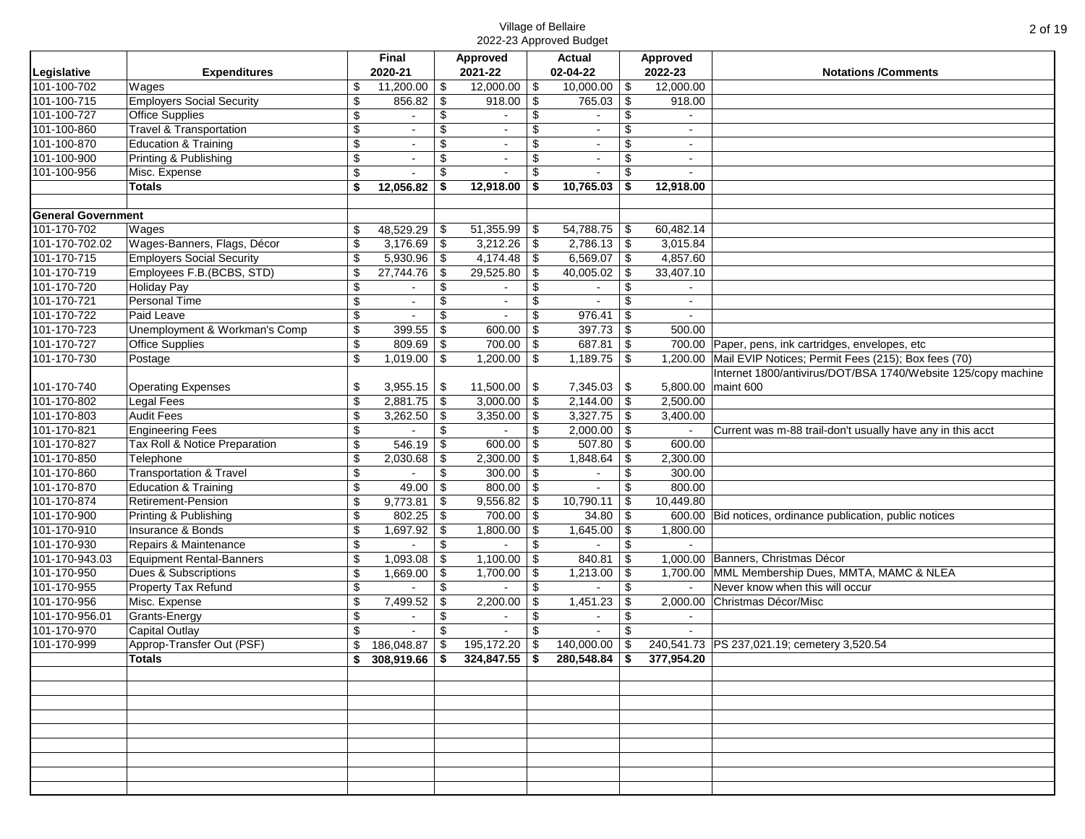|                           |                                    | <b>Final</b>         |                          | <b>Approved</b> |     | Actual         |      | <b>Approved</b> |                                                               |
|---------------------------|------------------------------------|----------------------|--------------------------|-----------------|-----|----------------|------|-----------------|---------------------------------------------------------------|
| Legislative               | <b>Expenditures</b>                | 2020-21              |                          | 2021-22         |     | 02-04-22       |      | 2022-23         | <b>Notations /Comments</b>                                    |
| 101-100-702               | Wages                              | \$<br>11,200.00      | \$                       | 12,000.00       | -\$ | 10,000.00      | \$   | 12,000.00       |                                                               |
| 101-100-715               | <b>Employers Social Security</b>   | \$<br>856.82         | $\overline{\mathcal{G}}$ | 918.00          | \$  | 765.03         | \$   | 918.00          |                                                               |
| 101-100-727               | <b>Office Supplies</b>             | \$                   | \$                       |                 | \$  |                | \$   |                 |                                                               |
| 101-100-860               | <b>Travel &amp; Transportation</b> | \$<br>$\sim$         | \$                       | $\sim$          | \$  | $\sim$         | \$   | $\sim$          |                                                               |
| 101-100-870               | <b>Education &amp; Training</b>    | \$<br>$\blacksquare$ | \$                       | $\sim$          | \$  | $\sim$         | \$   | $\sim$          |                                                               |
| 101-100-900               | Printing & Publishing              | \$<br>$\sim$         | \$                       | $\sim$          | \$  | $\sim$         | \$   | $\sim$          |                                                               |
| 101-100-956               | Misc. Expense                      | \$                   | \$                       |                 | \$  |                | \$   |                 |                                                               |
|                           | <b>Totals</b>                      | \$<br>12,056.82      | \$                       | 12,918.00       | \$  | 10,765.03      | \$   | 12,918.00       |                                                               |
|                           |                                    |                      |                          |                 |     |                |      |                 |                                                               |
| <b>General Government</b> |                                    |                      |                          |                 |     |                |      |                 |                                                               |
| 101-170-702               | Wages                              | \$<br>48,529.29      | \$                       | 51,355.99       | \$  | 54,788.75      | \$   | 60,482.14       |                                                               |
| 101-170-702.02            | Wages-Banners, Flags, Décor        | \$<br>3,176.69       | \$                       | 3,212.26        | \$  | $2,786.13$ \$  |      | 3,015.84        |                                                               |
| 101-170-715               | <b>Employers Social Security</b>   | \$<br>5,930.96       | \$                       | 4,174.48        | \$  | 6,569.07       | -\$  | 4,857.60        |                                                               |
| 101-170-719               | Employees F.B. (BCBS, STD)         | \$<br>27,744.76      | \$                       | 29,525.80       | \$  | 40,005.02      | \$   | 33,407.10       |                                                               |
| 101-170-720               | <b>Holiday Pay</b>                 | \$                   | \$                       |                 | \$  |                | \$   | $\mathbf{r}$    |                                                               |
| 101-170-721               | Personal Time                      | \$<br>$\blacksquare$ | \$                       | $\blacksquare$  |     | $\blacksquare$ | \$   | $\sim$          |                                                               |
| 101-170-722               | Paid Leave                         | \$                   | \$                       |                 | \$  | 976.41         | \$   | $\sim$          |                                                               |
| 101-170-723               | Unemployment & Workman's Comp      | \$<br>399.55         | \$                       | 600.00          | \$  | 397.73         | \$   | 500.00          |                                                               |
| 101-170-727               | <b>Office Supplies</b>             | \$<br>809.69         | \$                       | 700.00          | \$  | 687.81         | l \$ |                 | 700.00 Paper, pens, ink cartridges, envelopes, etc            |
| 101-170-730               | Postage                            | \$<br>1,019.00       | \$                       | 1,200.00        | \$  | $1,189.75$ \$  |      | 1,200.00        | Mail EVIP Notices; Permit Fees (215); Box fees (70)           |
|                           |                                    |                      |                          |                 |     |                |      |                 | Internet 1800/antivirus/DOT/BSA 1740/Website 125/copy machine |
| 101-170-740               | <b>Operating Expenses</b>          | \$<br>3,955.15       | \$                       | 11,500.00       | \$  | 7,345.03       | \$   | 5.800.00        | maint 600                                                     |
| 101-170-802               | Legal Fees                         | \$<br>2,881.75       | \$                       | 3,000.00        | \$  | $2,144.00$ \$  |      | 2,500.00        |                                                               |
| 101-170-803               | <b>Audit Fees</b>                  | \$<br>3,262.50       | \$                       | 3,350.00        | \$  | $3,327.75$ \\$ |      | 3,400.00        |                                                               |
| 101-170-821               | <b>Engineering Fees</b>            | \$<br>$\sim$         | \$                       | $\sim$          | \$  | $2,000.00$ \$  |      | $\sim$          | Current was m-88 trail-don't usually have any in this acct    |
| 101-170-827               | Tax Roll & Notice Preparation      | \$<br>546.19         | \$                       | 600.00          | \$  | 507.80         | \$   | 600.00          |                                                               |
| 101-170-850               | Telephone                          | \$<br>2,030.68       | \$                       | 2,300.00        | \$  | 1,848.64       | \$   | 2,300.00        |                                                               |
| 101-170-860               | <b>Transportation &amp; Travel</b> | \$                   | \$                       | 300.00          | \$  | $\blacksquare$ | \$   | 300.00          |                                                               |
| 101-170-870               | <b>Education &amp; Training</b>    | \$<br>49.00          | \$                       | 800.00          | -\$ | $\sim$         | \$   | 800.00          |                                                               |
| 101-170-874               | <b>Retirement-Pension</b>          | \$<br>9,773.81       | \$                       | 9,556.82        | \$  | 10,790.11      | \$   | 10,449.80       |                                                               |
| 101-170-900               | Printing & Publishing              | \$<br>802.25         | \$                       | 700.00          | \$  | 34.80          | \$   |                 | 600.00 Bid notices, ordinance publication, public notices     |
| 101-170-910               | Insurance & Bonds                  | \$<br>1,697.92       | \$                       | 1,800.00        | \$  | 1,645.00       | \$   | 1,800.00        |                                                               |
| 101-170-930               | Repairs & Maintenance              | \$<br>$\sim$         | \$                       | $\sim$          | \$  | $\sim$         | \$   | $\sim$          |                                                               |
| 101-170-943.03            | Equipment Rental-Banners           | \$<br>1,093.08       | \$                       | 1,100.00        | \$  | 840.81         | \$   | 1,000.00        | Banners, Christmas Décor                                      |
| 101-170-950               | Dues & Subscriptions               | \$<br>1,669.00       | \$                       | 1,700.00        | \$  | 1,213.00       | \$   | 1,700.00        | MML Membership Dues, MMTA, MAMC & NLEA                        |
| 101-170-955               | <b>Property Tax Refund</b>         | \$                   | \$                       |                 | \$  |                | \$   |                 | Never know when this will occur                               |
| 101-170-956               | Misc. Expense                      | \$<br>7,499.52       | \$                       | 2,200.00        | \$  | 1,451.23       | \$   | 2,000.00        | Christmas Décor/Misc                                          |
| 101-170-956.01            | Grants-Energy                      | \$                   | \$                       |                 | \$  |                | \$   |                 |                                                               |
| 101-170-970               | Capital Outlay                     | \$                   | \$                       | $\sim$          | \$  | $\sim$         | \$   |                 |                                                               |
| 101-170-999               | Approp-Transfer Out (PSF)          | \$<br>186,048.87     | \$                       | 195,172.20      |     | 140,000.00     | \$   |                 | 240,541.73   PS 237,021.19; cemetery 3,520.54                 |
|                           | <b>Totals</b>                      | \$<br>308,919.66     | \$                       | 324,847.55      | -\$ | 280,548.84     | \$   | 377,954.20      |                                                               |
|                           |                                    |                      |                          |                 |     |                |      |                 |                                                               |
|                           |                                    |                      |                          |                 |     |                |      |                 |                                                               |
|                           |                                    |                      |                          |                 |     |                |      |                 |                                                               |
|                           |                                    |                      |                          |                 |     |                |      |                 |                                                               |
|                           |                                    |                      |                          |                 |     |                |      |                 |                                                               |
|                           |                                    |                      |                          |                 |     |                |      |                 |                                                               |
|                           |                                    |                      |                          |                 |     |                |      |                 |                                                               |
|                           |                                    |                      |                          |                 |     |                |      |                 |                                                               |
|                           |                                    |                      |                          |                 |     |                |      |                 |                                                               |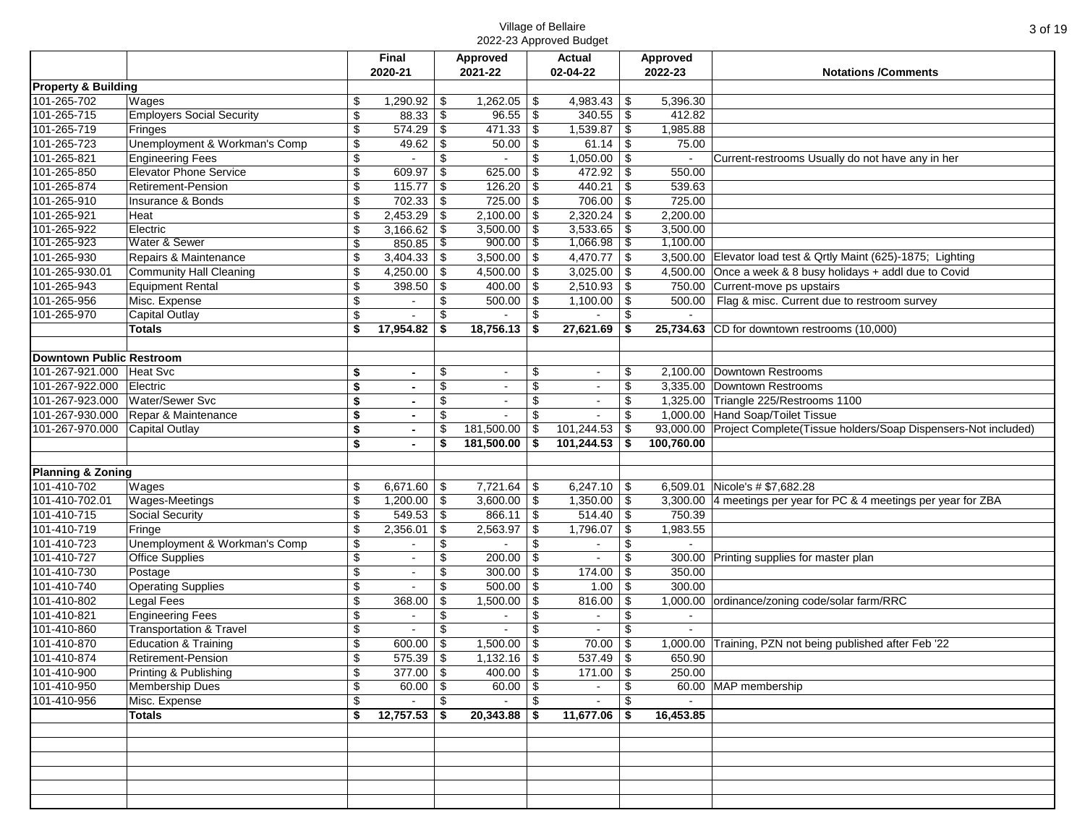|                                 |                                     |                         | <b>Final</b>   | <b>Approved</b>                |     | Actual              |            | <b>Approved</b> |                                                                         |
|---------------------------------|-------------------------------------|-------------------------|----------------|--------------------------------|-----|---------------------|------------|-----------------|-------------------------------------------------------------------------|
|                                 |                                     |                         | 2020-21        | 2021-22                        |     | 02-04-22            |            | 2022-23         | <b>Notations /Comments</b>                                              |
| <b>Property &amp; Building</b>  |                                     |                         |                |                                |     |                     |            |                 |                                                                         |
| 101-265-702                     | Wages                               | \$                      | 1,290.92       | \$<br>1,262.05                 | \$  | 4,983.43            | $\sqrt{3}$ | 5,396.30        |                                                                         |
| 101-265-715                     | <b>Employers Social Security</b>    | \$                      | 88.33          | \$<br>96.55                    | \$  | $340.55$ \\$        |            | 412.82          |                                                                         |
| 101-265-719                     | Fringes                             | \$                      | 574.29         | \$<br>471.33                   | \$  | $1,539.87$ \$       |            | 1,985.88        |                                                                         |
| 101-265-723                     | Unemployment & Workman's Comp       | \$                      | 49.62          | \$<br>50.00                    | \$  |                     |            | 75.00           |                                                                         |
| 101-265-821                     | <b>Engineering Fees</b>             | \$                      |                | \$                             | \$  | $1,050.00$ \\$      |            |                 | Current-restrooms Usually do not have any in her                        |
| 101-265-850                     | <b>Elevator Phone Service</b>       | \$                      | 609.97         | \$<br>625.00                   | \$  | $472.92$ \$         |            | 550.00          |                                                                         |
| 101-265-874                     | <b>Retirement-Pension</b>           | \$                      | 115.77         | \$<br>126.20                   | \$  | $440.21$ \\$        |            | 539.63          |                                                                         |
| 101-265-910                     | Insurance & Bonds                   | \$                      | 702.33         | \$<br>725.00                   | -\$ | $706.00$ \$         |            | 725.00          |                                                                         |
| 101-265-921                     | Heat                                | \$                      | 2,453.29       | \$<br>2,100.00                 | \$  | $2,320.24$ \$       |            | 2,200.00        |                                                                         |
| 101-265-922                     | Electric                            | \$                      | 3,166.62       | \$<br>3,500.00                 | \$  | $3,533.65$ \$       |            | 3,500.00        |                                                                         |
| 101-265-923                     | Water & Sewer                       | \$                      | 850.85         | \$<br>900.00                   | \$  | $1,066.98$ \$       |            | 1,100.00        |                                                                         |
| 101-265-930                     | Repairs & Maintenance               | \$                      | 3,404.33       | \$<br>3,500.00                 | \$  | 4,470.77 $\vert$ \$ |            |                 | 3,500.00 Elevator load test & Qrtly Maint (625)-1875; Lighting          |
| 101-265-930.01                  | Community Hall Cleaning             | \$                      | 4,250.00       | \$<br>4,500.00                 | \$  | $3,025.00$ \ \$     |            |                 | 4,500.00 Once a week & 8 busy holidays + addl due to Covid              |
| 101-265-943                     | <b>Equipment Rental</b>             | \$                      | 398.50         | \$<br>400.00                   | \$  | $2,510.93$ \$       |            |                 | 750.00 Current-move ps upstairs                                         |
| 101-265-956                     | Misc. Expense                       | \$                      |                | \$<br>500.00                   | \$  | $1,100.00$ \$       |            | 500.00          | Flag & misc. Current due to restroom survey                             |
| 101-265-970                     | Capital Outlay                      | \$                      |                | \$                             | \$  |                     | \$         |                 |                                                                         |
|                                 | <b>Totals</b>                       | \$                      | 17,954.82      | \$<br>18,756.13                |     | 27,621.69           | \$         | 25,734.63       | CD for downtown restrooms (10,000)                                      |
|                                 |                                     |                         |                |                                |     |                     |            |                 |                                                                         |
| <b>Downtown Public Restroom</b> |                                     |                         |                |                                |     |                     |            |                 |                                                                         |
| 101-267-921.000                 | Heat Svc                            | \$                      | $\blacksquare$ | \$<br>$\overline{\phantom{a}}$ | \$  | $\sim$              | \$         |                 | 2,100.00 Downtown Restrooms                                             |
| 101-267-922.000                 | Electric                            | \$                      | $\blacksquare$ | \$<br>$\sim$                   | \$  | $\sim$              | \$         |                 | 3,335.00 Downtown Restrooms                                             |
| 101-267-923.000                 | Water/Sewer Svc                     | \$                      |                | \$<br>$\blacksquare$           | \$  |                     | \$         |                 | 1,325.00 Triangle 225/Restrooms 1100                                    |
|                                 | 101-267-930.000 Repar & Maintenance | \$                      | $\blacksquare$ | \$<br>$\blacksquare$           | \$  | $\sim$              | \$         |                 | 1,000.00 Hand Soap/Toilet Tissue                                        |
| 101-267-970.000                 | Capital Outlay                      | \$                      | $\blacksquare$ | 181,500.00                     |     | 101,244.53          | -\$        |                 | 93,000.00 Project Complete(Tissue holders/Soap Dispensers-Not included) |
|                                 |                                     | \$                      | $\blacksquare$ | \$<br>181,500.00               |     | 101,244.53          | - \$       | 100,760.00      |                                                                         |
|                                 |                                     |                         |                |                                |     |                     |            |                 |                                                                         |
| <b>Planning &amp; Zoning</b>    |                                     |                         |                |                                |     |                     |            |                 |                                                                         |
| 101-410-702                     | Wages                               | \$                      | 6,671.60       | \$<br>7,721.64                 | \$  | $6,247.10$ \\$      |            | 6,509.01        | Nicole's # \$7,682.28                                                   |
| 101-410-702.01                  | Wages-Meetings                      | \$                      | 1,200.00       | \$<br>3,600.00                 | \$  | $1,350.00$ \$       |            |                 | 3,300.00 4 meetings per year for PC & 4 meetings per year for ZBA       |
| 101-410-715                     | Social Security                     | $\sqrt[6]{\frac{1}{2}}$ | 549.53         | \$<br>866.11                   | \$  | $514.40$ \ \$       |            | 750.39          |                                                                         |
| 101-410-719                     | Fringe                              | \$                      | 2,356.01       | \$<br>2,563.97                 | \$  | 1,796.07            | $\sqrt{3}$ | 1,983.55        |                                                                         |
| 101-410-723                     | Unemployment & Workman's Comp       | \$                      |                | \$                             | \$  | $\sim$              | \$         |                 |                                                                         |
| 101-410-727                     | Office Supplies                     | \$                      | $\blacksquare$ | \$<br>200.00                   | -\$ | $\sim$              | \$         | 300.00          | Printing supplies for master plan                                       |
| 101-410-730                     | Postage                             | \$                      |                | \$<br>300.00                   | \$  | 174.00              | -\$        | 350.00          |                                                                         |
| 101-410-740                     | <b>Operating Supplies</b>           | \$                      | $\sim$         | \$<br>500.00                   | \$  | $1.00$ \ \$         |            | 300.00          |                                                                         |
| 101-410-802                     | Legal Fees                          | \$                      | 368.00         | \$<br>1,500.00                 | \$  | 816.00              | -\$        | 1,000.00        | ordinance/zoning code/solar farm/RRC                                    |
| 101-410-821                     | <b>Engineering Fees</b>             | \$                      | $\sim$         | \$<br>$\sim$                   | \$  | $\sim$              | \$         | $\sim$          |                                                                         |
| 101-410-860                     | <b>Transportation &amp; Travel</b>  | \$                      |                | \$                             | \$  |                     | \$         |                 |                                                                         |
| 101-410-870                     | Education & Training                | \$                      | 600.00         | \$<br>1,500.00                 | \$  | 70.00               | \$         |                 | 1,000.00 Training, PZN not being published after Feb '22                |
| 101-410-874                     | Retirement-Pension                  | \$                      | 575.39         | \$<br>1,132.16                 | \$  | 537.49              | $\vert$ \$ | 650.90          |                                                                         |
| 101-410-900                     | Printing & Publishing               | \$                      | $377.00$ \$    | $400.00$ \\$                   |     | $171.00$ \$         |            | 250.00          |                                                                         |
| 101-410-950                     | <b>Membership Dues</b>              | \$                      | $60.00$ \$     | $60.00$ \$                     |     | $\blacksquare$      | \$         |                 | 60.00 MAP membership                                                    |
| 101-410-956                     | Misc. Expense                       | \$                      | $\blacksquare$ | \$<br>$\sim$                   | \$  | $\bullet$           | \$         |                 |                                                                         |
|                                 | <b>Totals</b>                       | \$                      | 12,757.53      | \$<br>20,343.88                | -\$ | $11,677.06$ \\$     |            | 16,453.85       |                                                                         |
|                                 |                                     |                         |                |                                |     |                     |            |                 |                                                                         |
|                                 |                                     |                         |                |                                |     |                     |            |                 |                                                                         |
|                                 |                                     |                         |                |                                |     |                     |            |                 |                                                                         |
|                                 |                                     |                         |                |                                |     |                     |            |                 |                                                                         |
|                                 |                                     |                         |                |                                |     |                     |            |                 |                                                                         |
|                                 |                                     |                         |                |                                |     |                     |            |                 |                                                                         |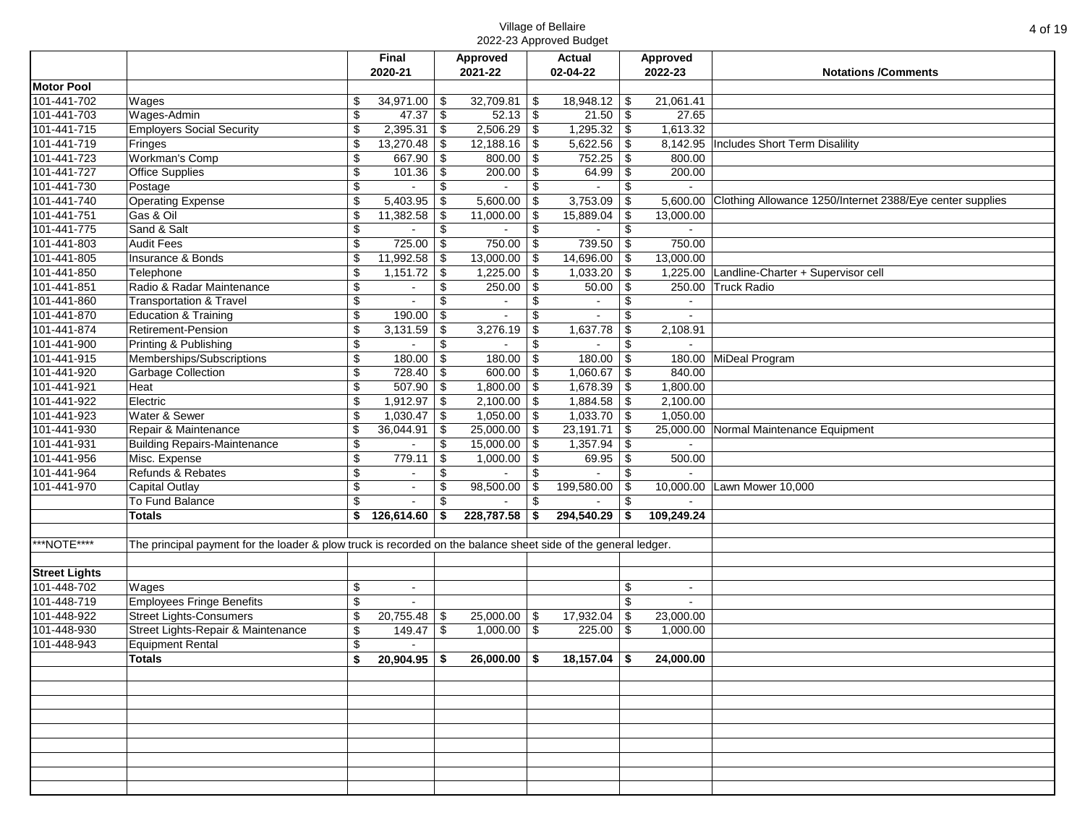|                      |                                                                                                                | <b>Final</b>         |     | Approved         |            | <b>Actual</b>  | Approved         |                                                           |
|----------------------|----------------------------------------------------------------------------------------------------------------|----------------------|-----|------------------|------------|----------------|------------------|-----------------------------------------------------------|
|                      |                                                                                                                | 2020-21              |     | 2021-22          |            | 02-04-22       | 2022-23          | <b>Notations /Comments</b>                                |
| <b>Motor Pool</b>    |                                                                                                                |                      |     |                  |            |                |                  |                                                           |
| 101-441-702          | Wages                                                                                                          | $34,971.00$ \$<br>\$ |     | 32,709.81        | l \$       | 18,948.12      | \$<br>21,061.41  |                                                           |
| 101-441-703          | Wages-Admin                                                                                                    | $47.37$ \$<br>\$     |     | $52.13$ \\$      |            | $21.50$ \\$    | 27.65            |                                                           |
| 101-441-715          | <b>Employers Social Security</b>                                                                               | $2,395.31$ \$<br>\$  |     | 2,506.29         | <b>S</b>   | 1,295.32       | \$<br>1,613.32   |                                                           |
| 101-441-719          | Fringes                                                                                                        | 13,270.48<br>\$      | \$  | 12,188.16        | l \$       | 5,622.56       | \$               | 8,142.95   Includes Short Term Disalility                 |
| 101-441-723          | Workman's Comp                                                                                                 | 667.90 \$<br>\$      |     | $800.00$ \ \$    |            | 752.25         | \$<br>800.00     |                                                           |
| 101-441-727          | <b>Office Supplies</b>                                                                                         | \$<br>$101.36$ \$    |     | $200.00$ \ \$    |            | 64.99          | \$<br>200.00     |                                                           |
| 101-441-730          | Postage                                                                                                        | \$                   | \$  |                  | \$         |                | \$               |                                                           |
| 101-441-740          | <b>Operating Expense</b>                                                                                       | $5,403.95$ \$<br>\$  |     | 5,600.00         | <b>S</b>   | 3,753.09       | \$<br>5,600.00   | Clothing Allowance 1250/Internet 2388/Eye center supplies |
| 101-441-751          | Gas & Oil                                                                                                      | \$<br>11,382.58      | -\$ | 11,000.00        | \$         | 15,889.04      | \$<br>13,000.00  |                                                           |
| 101-441-775          | Sand & Salt                                                                                                    | \$<br>$\sim$         | \$  |                  | \$         | $\sim$         | \$<br>$\sim$     |                                                           |
| 101-441-803          | <b>Audit Fees</b>                                                                                              | \$<br>725.00 \$      |     | 750.00           | l \$       | 739.50         | \$<br>750.00     |                                                           |
| 101-441-805          | Insurance & Bonds                                                                                              | \$<br>$11,992.58$ \$ |     | 13,000.00        | l \$       | 14,696.00      | \$<br>13,000.00  |                                                           |
| 101-441-850          | Telephone                                                                                                      | $1,151.72$ \$<br>\$  |     | 1,225.00         | -\$        | 1,033.20       | \$<br>1,225.00   | Landline-Charter + Supervisor cell                        |
| 101-441-851          | Radio & Radar Maintenance                                                                                      | \$<br>$\sim$         | \$  | 250.00           | $\sqrt{3}$ | 50.00          | \$<br>250.00     | <b>Truck Radio</b>                                        |
| 101-441-860          | <b>Transportation &amp; Travel</b>                                                                             | \$                   | \$  |                  | \$         |                | \$               |                                                           |
| 101-441-870          | Education & Training                                                                                           | \$<br>190.00         | \$  | $\blacksquare$   | \$         |                | \$<br>$\sim$     |                                                           |
| 101-441-874          | Retirement-Pension                                                                                             | \$<br>3,131.59       | \$  | 3,276.19         | \$         | 1,637.78       | \$<br>2,108.91   |                                                           |
| 101-441-900          | Printing & Publishing                                                                                          | \$<br>$\sim$         | \$  |                  | \$         | $\blacksquare$ | \$<br>$\sim$     |                                                           |
| 101-441-915          | Memberships/Subscriptions                                                                                      | \$<br>180.00         | \$  | 180.00           | -\$        | 180.00         | \$<br>180.00     | MiDeal Program                                            |
| 101-441-920          | <b>Garbage Collection</b>                                                                                      | $728.40$ \$<br>\$    |     | 600.00           | l \$       | 1,060.67       | \$<br>840.00     |                                                           |
| 101-441-921          | Heat                                                                                                           | \$<br>$507.90$ \$    |     | 1,800.00         | l \$       | 1,678.39       | \$<br>1,800.00   |                                                           |
| 101-441-922          | Electric                                                                                                       | \$<br>$1,912.97$ \$  |     | 2,100.00         | l \$       | 1,884.58       | \$<br>2,100.00   |                                                           |
| 101-441-923          | <b>Water &amp; Sewer</b>                                                                                       | \$<br>$1,030.47$ \$  |     | 1,050.00         | $\vert$ \$ | $1,033.70$ \$  | 1,050.00         |                                                           |
| 101-441-930          | Repair & Maintenance                                                                                           | $36,044.91$ \$<br>\$ |     | 25,000.00        | \$         | 23,191.71      | \$<br>25,000.00  | Normal Maintenance Equipment                              |
| 101-441-931          | <b>Building Repairs-Maintenance</b>                                                                            | \$                   | \$  | $15,000.00$ \$   |            | 1,357.94       | \$               |                                                           |
| 101-441-956          | Misc. Expense                                                                                                  | \$<br>779.11         | \$  | 1,000.00         | $\vert$ \$ | 69.95          | \$<br>500.00     |                                                           |
| 101-441-964          | Refunds & Rebates                                                                                              | \$                   | \$  |                  | \$         |                | \$               |                                                           |
| 101-441-970          | Capital Outlay                                                                                                 | \$<br>$\sim$         | \$  | 98,500.00        | \$         | 199,580.00     | \$<br>10,000.00  | Lawn Mower 10,000                                         |
|                      | To Fund Balance                                                                                                | \$                   | \$  |                  | \$         |                | \$               |                                                           |
|                      | <b>Totals</b>                                                                                                  | 126,614.60<br>\$     | \$  | 228,787.58       | ∣\$        | 294,540.29     | \$<br>109,249.24 |                                                           |
|                      |                                                                                                                |                      |     |                  |            |                |                  |                                                           |
| ***NOTE****          | The principal payment for the loader & plow truck is recorded on the balance sheet side of the general ledger. |                      |     |                  |            |                |                  |                                                           |
|                      |                                                                                                                |                      |     |                  |            |                |                  |                                                           |
| <b>Street Lights</b> |                                                                                                                |                      |     |                  |            |                |                  |                                                           |
| 101-448-702          | Wages                                                                                                          | \$<br>$\blacksquare$ |     |                  |            |                | \$<br>$\sim$     |                                                           |
| 101-448-719          | <b>Employees Fringe Benefits</b>                                                                               | \$                   |     |                  |            |                | \$               |                                                           |
| 101-448-922          | <b>Street Lights-Consumers</b>                                                                                 | \$<br>$20,755.48$ \$ |     | $25,000.00$ \$   |            | 17,932.04      | \$<br>23,000.00  |                                                           |
| 101-448-930          | Street Lights-Repair & Maintenance                                                                             | \$<br>$149.47$ \\$   |     | $1,000.00$ \$    |            | 225.00         | \$<br>1,000.00   |                                                           |
| 101-448-943          | Equipment Rental                                                                                               | \$                   |     |                  |            |                |                  |                                                           |
|                      | <b>Totals</b>                                                                                                  | \$<br>$20,904.95$ \$ |     | $26,000.00$   \$ |            | 18,157.04      | \$<br>24,000.00  |                                                           |
|                      |                                                                                                                |                      |     |                  |            |                |                  |                                                           |
|                      |                                                                                                                |                      |     |                  |            |                |                  |                                                           |
|                      |                                                                                                                |                      |     |                  |            |                |                  |                                                           |
|                      |                                                                                                                |                      |     |                  |            |                |                  |                                                           |
|                      |                                                                                                                |                      |     |                  |            |                |                  |                                                           |
|                      |                                                                                                                |                      |     |                  |            |                |                  |                                                           |
|                      |                                                                                                                |                      |     |                  |            |                |                  |                                                           |
|                      |                                                                                                                |                      |     |                  |            |                |                  |                                                           |
|                      |                                                                                                                |                      |     |                  |            |                |                  |                                                           |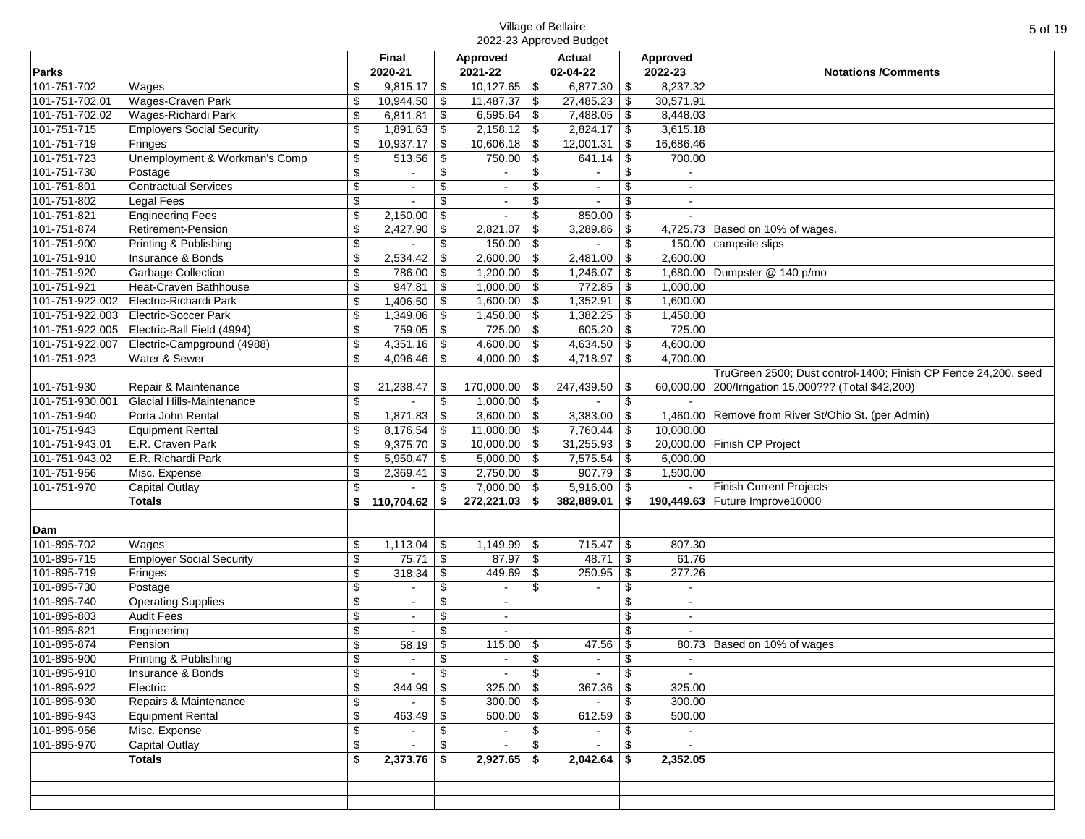|                 |                                      |                 | Final         |     | Approved                 |                           | <b>Actual</b>            | Approved             |                                                                |
|-----------------|--------------------------------------|-----------------|---------------|-----|--------------------------|---------------------------|--------------------------|----------------------|----------------------------------------------------------------|
| <b>Parks</b>    |                                      |                 | 2020-21       |     | 2021-22                  |                           | 02-04-22                 | 2022-23              | <b>Notations /Comments</b>                                     |
| 101-751-702     | Wages                                | \$              | $9,815.17$ \$ |     | 10,127.65                | l \$                      | $6,877.30$ \ \$          | 8,237.32             |                                                                |
| 101-751-702.01  | Wages-Craven Park                    | \$              | 10,944.50     | \$  | 11,487.37                | \$                        | 27,485.23                | \$<br>30,571.91      |                                                                |
| 101-751-702.02  | Wages-Richardi Park                  | \$              | 6,811.81      | \$  | 6,595.64                 | \$                        | 7,488.05                 | \$<br>8,448.03       |                                                                |
| 101-751-715     | <b>Employers Social Security</b>     | \$              | 1,891.63      | \$  | 2,158.12                 | \$                        | 2,824.17                 | \$<br>3,615.18       |                                                                |
| 101-751-719     | Fringes                              | \$              | 10,937.17     | \$  | 10,606.18                | \$                        | 12,001.31                | \$<br>16,686.46      |                                                                |
| 101-751-723     | Unemployment & Workman's Comp        | \$              | 513.56        | \$  | 750.00                   | \$                        | 641.14                   | \$<br>700.00         |                                                                |
| 101-751-730     | Postage                              | \$              |               | \$  | $\overline{\phantom{a}}$ | \$                        | $\overline{\phantom{a}}$ | \$                   |                                                                |
| 101-751-801     | <b>Contractual Services</b>          | \$              |               | \$  |                          | \$                        | $\blacksquare$           | \$<br>$\blacksquare$ |                                                                |
| 101-751-802     | Legal Fees                           | \$              | $\sim$        | \$  | $\sim$                   | \$                        | $\blacksquare$           | \$<br>$\sim$         |                                                                |
| 101-751-821     | <b>Engineering Fees</b>              | \$              | 2,150.00      | \$  | $\blacksquare$           | \$                        | 850.00                   | \$                   |                                                                |
| 101-751-874     | <b>Retirement-Pension</b>            | \$              | 2,427.90      | \$  | 2,821.07                 | \$                        | 3,289.86                 | \$<br>4,725.73       | Based on 10% of wages.                                         |
| 101-751-900     | Printing & Publishing                | \$              |               | \$  | 150.00                   | \$                        |                          | \$<br>150.00         | campsite slips                                                 |
| 101-751-910     | Insurance & Bonds                    | \$              | 2,534.42      | \$  | 2,600.00                 | \$                        | 2,481.00                 | \$<br>2,600.00       |                                                                |
| 101-751-920     | <b>Garbage Collection</b>            | \$              | 786.00        | \$  | 1,200.00                 | \$                        | 1,246.07                 | \$                   | 1,680.00 Dumpster @ 140 p/mo                                   |
| 101-751-921     | Heat-Craven Bathhouse                | \$              | 947.81        | \$  | 1,000.00                 | -\$                       | $772.85$ \\$             | 1,000.00             |                                                                |
| 101-751-922.002 | Electric-Richardi Park               | \$              | 1,406.50      | \$  | 1,600.00                 | \$                        | 1,352.91                 | \$<br>1,600.00       |                                                                |
|                 | 101-751-922.003 Electric-Soccer Park | \$              | 1,349.06      | \$  | 1,450.00                 | \$                        | 1,382.25                 | \$<br>1,450.00       |                                                                |
| 101-751-922.005 | Electric-Ball Field (4994)           | \$              | 759.05        | -\$ | 725.00                   | \$                        | 605.20                   | \$<br>725.00         |                                                                |
| 101-751-922.007 | Electric-Campground (4988)           | \$              | 4,351.16      | \$  | 4,600.00                 | \$                        | 4,634.50                 | \$<br>4,600.00       |                                                                |
| 101-751-923     | Water & Sewer                        | \$              | 4,096.46      | \$  | 4,000.00                 | \$                        | 4,718.97                 | \$<br>4,700.00       |                                                                |
|                 |                                      |                 |               |     |                          |                           |                          |                      | TruGreen 2500; Dust control-1400; Finish CP Fence 24,200, seed |
| 101-751-930     | Repair & Maintenance                 | \$              | 21,238.47     | \$  | 170,000.00               | -\$                       | 247,439.50               | \$<br>60,000.00      | 200/Irrigation 15,000??? (Total \$42,200)                      |
| 101-751-930.001 | Glacial Hills-Maintenance            | \$              |               | \$  | 1,000.00                 | \$                        |                          | \$                   |                                                                |
| 101-751-940     | Porta John Rental                    | \$              | 1,871.83      | \$  | 3,600.00                 | - \$                      | 3,383.00                 | \$<br>1,460.00       | Remove from River St/Ohio St. (per Admin)                      |
| 101-751-943     | Equipment Rental                     | \$              | 8,176.54      | \$  | 11,000.00                | \$                        | 7,760.44                 | \$<br>10,000.00      |                                                                |
| 101-751-943.01  | E.R. Craven Park                     | \$              | $9,375.70$ \$ |     | 10,000.00                | \$                        | 31,255.93                | \$                   | 20,000.00 Finish CP Project                                    |
| 101-751-943.02  | E.R. Richardi Park                   | \$              | 5,950.47      | \$  | 5,000.00                 | \$                        | 7,575.54                 | \$<br>6,000.00       |                                                                |
| 101-751-956     | Misc. Expense                        | \$              | 2,369.41      | \$  | 2,750.00                 | \$                        | $907.79$ \\$             | 1,500.00             |                                                                |
| 101-751-970     | <b>Capital Outlay</b>                | \$              |               | \$  | 7,000.00                 | \$                        | 5,916.00                 | \$<br>$\sim$         | <b>Finish Current Projects</b>                                 |
|                 | <b>Totals</b>                        | \$              | 110,704.62    | \$  | 272,221.03               | \$                        | 382,889.01               | \$<br>190,449.63     | Future Improve10000                                            |
|                 |                                      |                 |               |     |                          |                           |                          |                      |                                                                |
| Dam             |                                      |                 |               |     |                          |                           |                          |                      |                                                                |
| 101-895-702     | Wages                                | \$              | 1,113.04      | \$  | 1,149.99                 | \$                        | 715.47                   | \$<br>807.30         |                                                                |
| 101-895-715     | <b>Employer Social Security</b>      | \$              | 75.71         | \$  | 87.97                    | \$                        | 48.71                    | \$<br>61.76          |                                                                |
| 101-895-719     | Fringes                              | \$              | 318.34        | \$  | 449.69                   | \$                        | 250.95                   | \$<br>277.26         |                                                                |
| 101-895-730     | Postage                              | \$              | $\sim$        | \$  | $\blacksquare$           | \$                        |                          | \$<br>$\sim$         |                                                                |
| 101-895-740     | <b>Operating Supplies</b>            | \$              | $\sim$        | \$  | $\overline{\phantom{a}}$ |                           |                          | \$<br>$\sim$         |                                                                |
| 101-895-803     | <b>Audit Fees</b>                    | \$              | $\sim$        | \$  | $\sim$                   |                           |                          | \$<br>$\sim$         |                                                                |
| 101-895-821     | Engineering                          | \$              |               | \$  |                          |                           |                          | \$                   |                                                                |
| 101-895-874     | Pension                              | $\overline{\$}$ | 58.19         | \$  | 115.00                   | \$                        | 47.56                    | \$<br>80.73          | Based on 10% of wages                                          |
| 101-895-900     | Printing & Publishing                | \$              |               | \$  | $\sim$                   | \$                        | $\sim$                   | \$<br>$\sim$         |                                                                |
| 101-895-910     | Insurance & Bonds                    | \$              | $\sim$        | \$  | $\sim$                   | $\sqrt[6]{3}$             | $\sim$                   | \$<br>$\sim$         |                                                                |
| 101-895-922     | Electric                             | \$              | $344.99$ \$   |     | 325.00                   | $\boldsymbol{\mathsf{S}}$ | $367.36$ \$              | 325.00               |                                                                |
| 101-895-930     | Repairs & Maintenance                | \$              | $\sim$        | \$  | 300.00                   | \$                        | $\sim$                   | \$<br>300.00         |                                                                |
| 101-895-943     | <b>Equipment Rental</b>              | \$              | 463.49        | \$  | 500.00                   | \$                        | 612.59 $\frac{1}{9}$     | 500.00               |                                                                |
| 101-895-956     | Misc. Expense                        | \$              | $\sim$        | \$  | $\sim$                   | \$                        | $\sim$                   | \$<br>$\sim$         |                                                                |
| 101-895-970     | Capital Outlay                       | \$              | $\Delta \phi$ | \$  | $\omega_{\rm{eff}}$      | \$                        | $\mathbb{Z}^2$           | \$<br>$\sim$         |                                                                |
|                 | <b>Totals</b>                        | \$              | $2,373.76$ \$ |     | 2,927.65                 | \$                        | 2,042.64                 | \$<br>2,352.05       |                                                                |
|                 |                                      |                 |               |     |                          |                           |                          |                      |                                                                |
|                 |                                      |                 |               |     |                          |                           |                          |                      |                                                                |
|                 |                                      |                 |               |     |                          |                           |                          |                      |                                                                |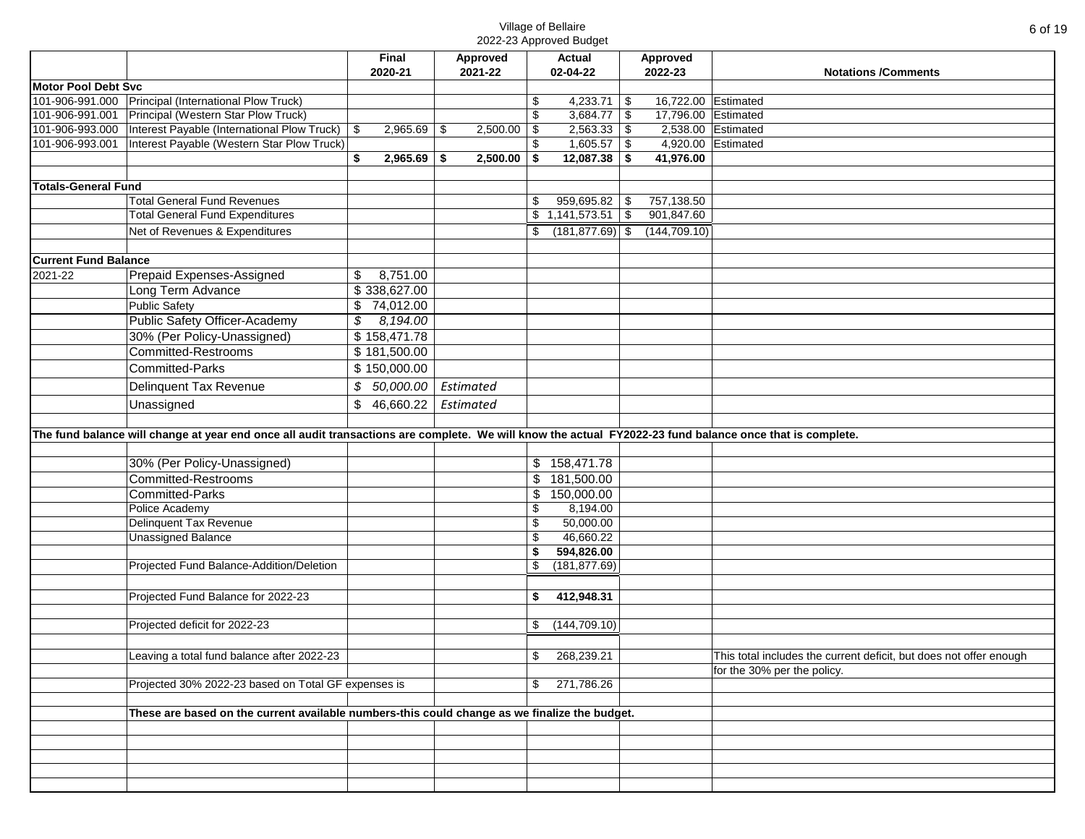|                             |                                                                                                                                                          | <b>Final</b>        | <b>Approved</b> |               | Actual                           |  | <b>Approved</b>          |                                                                    |
|-----------------------------|----------------------------------------------------------------------------------------------------------------------------------------------------------|---------------------|-----------------|---------------|----------------------------------|--|--------------------------|--------------------------------------------------------------------|
|                             |                                                                                                                                                          | 2020-21             | 2021-22         |               | 02-04-22                         |  | 2022-23                  | <b>Notations /Comments</b>                                         |
| <b>Motor Pool Debt Svc</b>  |                                                                                                                                                          |                     |                 |               |                                  |  |                          |                                                                    |
|                             | 101-906-991.000 Principal (International Plow Truck)                                                                                                     |                     |                 |               | \$<br>4,233.71 $\frac{1}{3}$     |  |                          | 16,722.00 Estimated                                                |
|                             | 101-906-991.001 Principal (Western Star Plow Truck)                                                                                                      |                     |                 |               | \$<br>$3,684.77$ \\$             |  |                          | 17,796.00 Estimated                                                |
|                             | 101-906-993.000 Interest Payable (International Plow Truck)                                                                                              | \$<br>2,965.69      | \$<br>2,500.00  |               | \$<br>$2,563.33$ \$              |  |                          | 2,538.00 Estimated                                                 |
| 101-906-993.001             | Interest Payable (Western Star Plow Truck)                                                                                                               |                     |                 |               | \$<br>$1,605.57$ \$              |  |                          | 4,920.00 Estimated                                                 |
|                             |                                                                                                                                                          | $2,965.69$ \$<br>\$ |                 | $2,500.00$ \$ | $12,087.38$ \$                   |  | 41,976.00                |                                                                    |
|                             |                                                                                                                                                          |                     |                 |               |                                  |  |                          |                                                                    |
| <b>Totals-General Fund</b>  |                                                                                                                                                          |                     |                 |               |                                  |  |                          |                                                                    |
|                             | <b>Total General Fund Revenues</b><br><b>Total General Fund Expenditures</b>                                                                             |                     |                 |               | $959,695.82$ \$<br>\$            |  | 757,138.50<br>901,847.60 |                                                                    |
|                             |                                                                                                                                                          |                     |                 |               | $\frac{1}{2}$ 1,141,573.51 \\ \$ |  |                          |                                                                    |
|                             | Net of Revenues & Expenditures                                                                                                                           |                     |                 |               | $\frac{12}{181,877.69}$          |  | (144, 709.10)            |                                                                    |
| <b>Current Fund Balance</b> |                                                                                                                                                          |                     |                 |               |                                  |  |                          |                                                                    |
| 2021-22                     | Prepaid Expenses-Assigned                                                                                                                                | 8,751.00<br>\$      |                 |               |                                  |  |                          |                                                                    |
|                             | Long Term Advance                                                                                                                                        | \$338,627.00        |                 |               |                                  |  |                          |                                                                    |
|                             | <b>Public Safety</b>                                                                                                                                     | \$74,012.00         |                 |               |                                  |  |                          |                                                                    |
|                             | <b>Public Safety Officer-Academy</b>                                                                                                                     | \$<br>8,194.00      |                 |               |                                  |  |                          |                                                                    |
|                             | 30% (Per Policy-Unassigned)                                                                                                                              | \$158,471.78        |                 |               |                                  |  |                          |                                                                    |
|                             | <b>Committed-Restrooms</b>                                                                                                                               | \$181,500.00        |                 |               |                                  |  |                          |                                                                    |
|                             | Committed-Parks                                                                                                                                          | \$150,000.00        |                 |               |                                  |  |                          |                                                                    |
|                             |                                                                                                                                                          |                     |                 |               |                                  |  |                          |                                                                    |
|                             | Delinquent Tax Revenue                                                                                                                                   | 50,000.00<br>\$     | Estimated       |               |                                  |  |                          |                                                                    |
|                             | Unassigned                                                                                                                                               | \$46,660.22         | Estimated       |               |                                  |  |                          |                                                                    |
|                             |                                                                                                                                                          |                     |                 |               |                                  |  |                          |                                                                    |
|                             | The fund balance will change at year end once all audit transactions are complete. We will know the actual FY2022-23 fund balance once that is complete. |                     |                 |               |                                  |  |                          |                                                                    |
|                             |                                                                                                                                                          |                     |                 |               |                                  |  |                          |                                                                    |
|                             | 30% (Per Policy-Unassigned)                                                                                                                              |                     |                 |               | \$158,471.78                     |  |                          |                                                                    |
|                             | <b>Committed-Restrooms</b>                                                                                                                               |                     |                 |               | \$181,500.00                     |  |                          |                                                                    |
|                             | <b>Committed-Parks</b>                                                                                                                                   |                     |                 |               | 150,000.00<br>\$                 |  |                          |                                                                    |
|                             | Police Academy<br>Delinquent Tax Revenue                                                                                                                 |                     |                 |               | 8,194.00<br>\$<br>50,000.00      |  |                          |                                                                    |
|                             | <b>Unassigned Balance</b>                                                                                                                                |                     |                 |               | \$<br>46,660.22<br>\$            |  |                          |                                                                    |
|                             |                                                                                                                                                          |                     |                 |               | \$<br>594,826.00                 |  |                          |                                                                    |
|                             | Projected Fund Balance-Addition/Deletion                                                                                                                 |                     |                 |               | (181, 877.69)<br>\$              |  |                          |                                                                    |
|                             |                                                                                                                                                          |                     |                 |               |                                  |  |                          |                                                                    |
|                             | Projected Fund Balance for 2022-23                                                                                                                       |                     |                 |               | 412,948.31<br>\$                 |  |                          |                                                                    |
|                             |                                                                                                                                                          |                     |                 |               |                                  |  |                          |                                                                    |
|                             | Projected deficit for 2022-23                                                                                                                            |                     |                 |               | (144, 709.10)<br>S.              |  |                          |                                                                    |
|                             |                                                                                                                                                          |                     |                 |               |                                  |  |                          |                                                                    |
|                             | Leaving a total fund balance after 2022-23                                                                                                               |                     |                 |               | \$<br>268,239.21                 |  |                          | This total includes the current deficit, but does not offer enough |
|                             |                                                                                                                                                          |                     |                 |               |                                  |  |                          | for the 30% per the policy.                                        |
|                             | Projected 30% 2022-23 based on Total GF expenses is                                                                                                      |                     |                 |               | $\mathbb{S}$<br>271,786.26       |  |                          |                                                                    |
|                             |                                                                                                                                                          |                     |                 |               |                                  |  |                          |                                                                    |
|                             | These are based on the current available numbers-this could change as we finalize the budget.                                                            |                     |                 |               |                                  |  |                          |                                                                    |
|                             |                                                                                                                                                          |                     |                 |               |                                  |  |                          |                                                                    |
|                             |                                                                                                                                                          |                     |                 |               |                                  |  |                          |                                                                    |
|                             |                                                                                                                                                          |                     |                 |               |                                  |  |                          |                                                                    |
|                             |                                                                                                                                                          |                     |                 |               |                                  |  |                          |                                                                    |
|                             |                                                                                                                                                          |                     |                 |               |                                  |  |                          |                                                                    |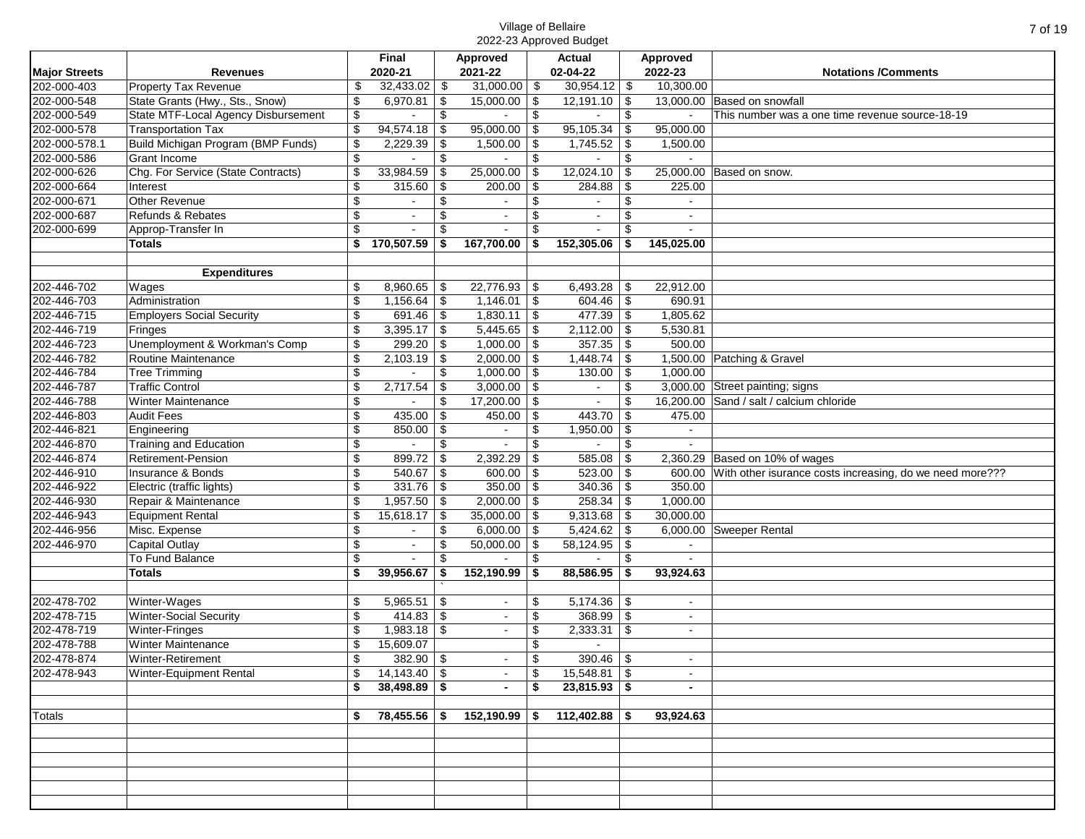|                      |                                     |                          | <b>Final</b>   |            | Approved        |            | Actual            |            | Approved       |                                                          |
|----------------------|-------------------------------------|--------------------------|----------------|------------|-----------------|------------|-------------------|------------|----------------|----------------------------------------------------------|
| <b>Major Streets</b> | Revenues                            |                          | 2020-21        |            | 2021-22         |            | 02-04-22          |            | 2022-23        | <b>Notations /Comments</b>                               |
| 202-000-403          | Property Tax Revenue                | \$                       | $32,433.02$ \$ |            | $31,000.00$ \$  |            | $30,954.12$ \$    |            | 10,300.00      |                                                          |
| 202-000-548          | State Grants (Hwy., Sts., Snow)     | \$                       | 6,970.81       | $\sqrt{3}$ | 15,000.00       | \$         | $12,191.10$ \\$   |            |                | 13,000.00 Based on snowfall                              |
| 202-000-549          | State MTF-Local Agency Disbursement | \$                       |                | \$         |                 | \$         |                   | \$         | $\sim$         | This number was a one time revenue source-18-19          |
| 202-000-578          | <b>Transportation Tax</b>           | \$                       | 94,574.18      | \$         | 95,000.00       | \$         | 95,105.34         | -\$        | 95,000.00      |                                                          |
| 202-000-578.1        | Build Michigan Program (BMP Funds)  | \$                       | $2,229.39$ \$  |            | 1,500.00        | \$         | $1,745.52$ \$     |            | 1,500.00       |                                                          |
| 202-000-586          | Grant Income                        | $\overline{\mathcal{S}}$ |                | \$         |                 | \$         |                   | \$         |                |                                                          |
| 202-000-626          | Chg. For Service (State Contracts)  | \$                       | 33,984.59      | \$         | 25,000.00       | \$         | $12,024.10$ \\$   |            | 25,000.00      | Based on snow.                                           |
| 202-000-664          | Interest                            | \$                       | 315.60         | \$         | 200.00          | \$         | 284.88            | -\$        | 225.00         |                                                          |
| 202-000-671          | Other Revenue                       | \$                       |                | \$         |                 | \$         | $\sim$            | \$         | $\sim$         |                                                          |
| 202-000-687          | Refunds & Rebates                   | \$                       |                | \$         | $\sim$          | \$         | $\blacksquare$    | \$         | $\sim$         |                                                          |
| 202-000-699          | Approp-Transfer In                  | $\overline{\$}$          |                | \$         | $\sim$          | \$         | $\sim$            | \$         | $\sim$         |                                                          |
|                      | <b>Totals</b>                       | \$                       | 170,507.59     | -\$        | 167,700.00      | \$         | 152,305.06        | -\$        | 145,025.00     |                                                          |
|                      |                                     |                          |                |            |                 |            |                   |            |                |                                                          |
|                      | <b>Expenditures</b>                 |                          |                |            |                 |            |                   |            |                |                                                          |
| 202-446-702          | Wages                               | \$                       | $8,960.65$ \$  |            | $22,776.93$ \$  |            | $6,493.28$ \\$    |            | 22,912.00      |                                                          |
| 202-446-703          | Administration                      | \$                       | $1,156.64$ \\$ |            | 1,146.01        | -\$        | $604.46$ \\$      |            | 690.91         |                                                          |
| 202-446-715          | <b>Employers Social Security</b>    | \$                       | $691.46$ \\$   |            | 1,830.11        | <b>S</b>   | $477.39$ \$       |            | 1,805.62       |                                                          |
| 202-446-719          | Fringes                             | \$                       | $3,395.17$ \$  |            | 5,445.65        | \$         | $2,112.00$ \$     |            | 5,530.81       |                                                          |
| 202-446-723          | Unemployment & Workman's Comp       | \$                       | $299.20$ \$    |            | $1,000.00$ \$   |            | $357.35$ \$       |            | 500.00         |                                                          |
| 202-446-782          | Routine Maintenance                 | \$                       | $2,103.19$ \$  |            | 2,000.00        | \$         | $1,448.74$ \\$    |            | 1,500.00       | Patching & Gravel                                        |
| 202-446-784          | <b>Tree Trimming</b>                | \$                       |                | \$         | $1,000.00$ \$   |            | $130.00$ \$       |            | 1,000.00       |                                                          |
| 202-446-787          | <b>Traffic Control</b>              | \$                       | 2,717.54       | \$         | 3,000.00        | l \$       | $\sim$            | \$         | 3,000.00       | Street painting; signs                                   |
| 202-446-788          | Winter Maintenance                  | \$                       |                | \$         | 17,200.00       | $\sqrt{3}$ | $\sim$            | \$         | 16,200.00      | Sand / salt / calcium chloride                           |
| 202-446-803          | <b>Audit Fees</b>                   | \$                       | 435.00         | \$         | 450.00          | \$         | 443.70            | \$         | 475.00         |                                                          |
| 202-446-821          | Engineering                         | \$                       | 850.00         | -\$        | $\sim$          | \$         | 1,950.00          | l \$       | $\sim$         |                                                          |
| 202-446-870          | Training and Education              | \$                       |                | \$         |                 | \$         |                   | \$         |                |                                                          |
| 202-446-874          | <b>Retirement-Pension</b>           | \$                       | $899.72$ \$    |            | 2,392.29        | -\$        | 585.08            | $\sqrt{3}$ |                | 2,360.29 Based on 10% of wages                           |
| 202-446-910          | Insurance & Bonds                   | \$                       | $540.67$ \\$   |            | 600.00          | $\sqrt{3}$ | $523.00$ \ \$     |            | 600.00         | With other isurance costs increasing, do we need more??? |
| 202-446-922          | Electric (traffic lights)           | \$                       | $331.76$ \$    |            | 350.00          | $\sqrt{3}$ | $340.36$ \\$      |            | 350.00         |                                                          |
| 202-446-930          | Repair & Maintenance                | \$                       | $1,957.50$ \$  |            | $2,000.00$ \$   |            | $258.34$ \$       |            | 1,000.00       |                                                          |
| 202-446-943          | Equipment Rental                    | \$                       | $15,618.17$ \$ |            | $35,000.00$ \$  |            | $9,313.68$ \$     |            | 30,000.00      |                                                          |
| 202-446-956          | Misc. Expense                       | \$                       | ÷.             | \$         | $6,000.00$ \$   |            | $5,424.62$ \$     |            |                | 6,000.00 Sweeper Rental                                  |
| 202-446-970          | <b>Capital Outlay</b>               | \$                       |                | \$         | 50,000.00       | <b>\$</b>  | $58,124.95$ \$    |            |                |                                                          |
|                      | To Fund Balance                     | \$                       | $\sim$         | \$         |                 | \$         |                   | \$         | $\sim$         |                                                          |
|                      | <b>Totals</b>                       | \$                       | 39,956.67      | \$         | 152,190.99      | \$         | 88,586.95         | -\$        | 93,924.63      |                                                          |
|                      |                                     |                          |                |            |                 |            |                   |            |                |                                                          |
| 202-478-702          | Winter-Wages                        | \$                       | $5,965.51$ \$  |            | $\sim$          | \$         | $5,174.36$ \\$    |            | $\sim$         |                                                          |
| 202-478-715          | <b>Winter-Social Security</b>       | \$                       | $414.83$ \$    |            | $\sim$          | \$         | $368.99$ \$       |            | $\sim$         |                                                          |
| 202-478-719          | Winter-Fringes                      | \$                       | $1,983.18$ \$  |            |                 | \$         | $2,333.31$ \$     |            | $\blacksquare$ |                                                          |
| 202-478-788          | Winter Maintenance                  | \$                       | 15,609.07      |            |                 | \$         |                   |            |                |                                                          |
| 202-478-874          | Winter-Retirement                   | \$                       | $382.90$ \$    |            |                 | \$         | $390.46$ \\$      |            | $\mathbf{r}$   |                                                          |
| 202-478-943          | Winter-Equipment Rental             | \$                       | $14,143.40$ \$ |            | $\sim$ $-$      | $\sqrt{3}$ | $15,548.81$ \$    |            | $\sim$         |                                                          |
|                      |                                     |                          | $38,498.89$ \$ |            |                 | \$         | $23,815.93$ \$    |            |                |                                                          |
|                      |                                     |                          |                |            |                 |            |                   |            |                |                                                          |
| Totals               |                                     | S                        | 78,455.56 \$   |            | $152,190.99$ \$ |            | $112,402.88$ \ \$ |            | 93,924.63      |                                                          |
|                      |                                     |                          |                |            |                 |            |                   |            |                |                                                          |
|                      |                                     |                          |                |            |                 |            |                   |            |                |                                                          |
|                      |                                     |                          |                |            |                 |            |                   |            |                |                                                          |
|                      |                                     |                          |                |            |                 |            |                   |            |                |                                                          |
|                      |                                     |                          |                |            |                 |            |                   |            |                |                                                          |
|                      |                                     |                          |                |            |                 |            |                   |            |                |                                                          |
|                      |                                     |                          |                |            |                 |            |                   |            |                |                                                          |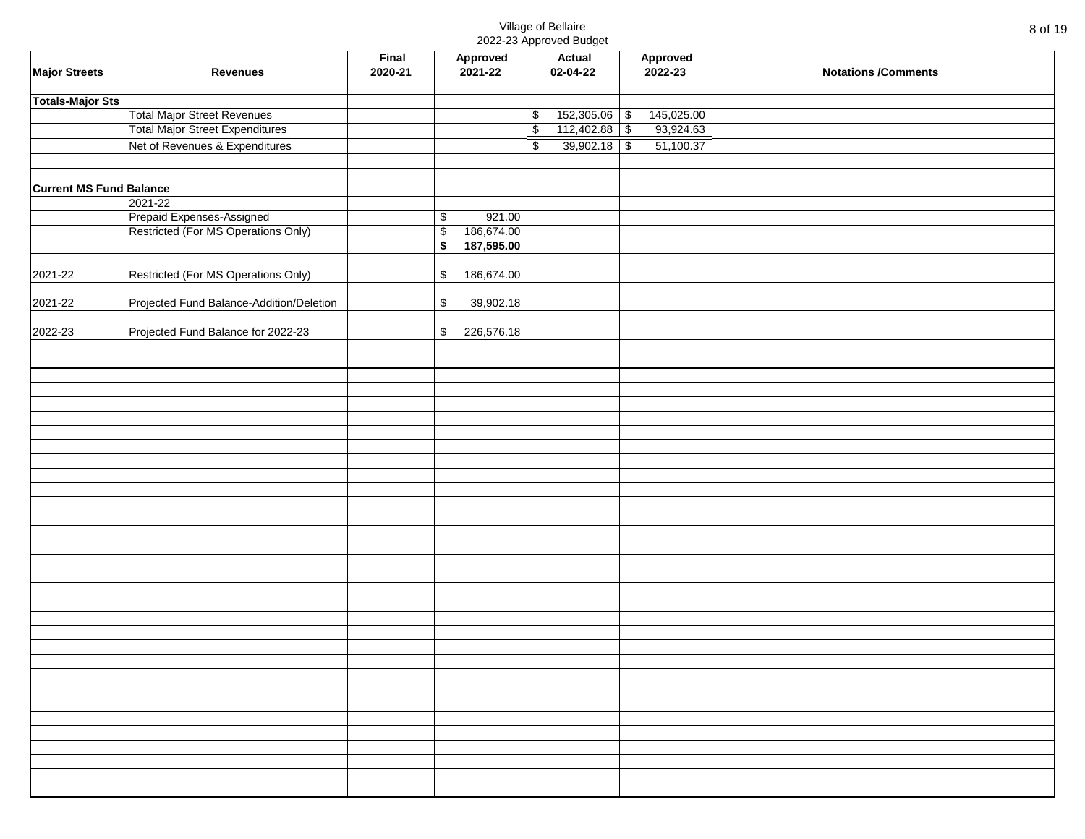|                                |                                                                       | Final   | Approved<br>2021-22                    |                           | Actual                             | Approved<br>2022-23 |                         |                            |
|--------------------------------|-----------------------------------------------------------------------|---------|----------------------------------------|---------------------------|------------------------------------|---------------------|-------------------------|----------------------------|
| <b>Major Streets</b>           | <b>Revenues</b>                                                       | 2020-21 |                                        |                           | 02-04-22                           |                     |                         | <b>Notations /Comments</b> |
|                                |                                                                       |         |                                        |                           |                                    |                     |                         |                            |
| <b>Totals-Major Sts</b>        |                                                                       |         |                                        |                           |                                    |                     |                         |                            |
|                                | <b>Total Major Street Revenues</b><br>Total Major Street Expenditures |         |                                        | \$<br>$\overline{\$}$     | $152,305.06$ \$<br>$112,402.88$ \$ |                     | 145,025.00<br>93,924.63 |                            |
|                                |                                                                       |         |                                        |                           |                                    |                     |                         |                            |
|                                | Net of Revenues & Expenditures                                        |         |                                        | $\overline{\mathfrak{s}}$ | $39,902.18$ \$                     |                     | 51,100.37               |                            |
|                                |                                                                       |         |                                        |                           |                                    |                     |                         |                            |
| <b>Current MS Fund Balance</b> |                                                                       |         |                                        |                           |                                    |                     |                         |                            |
|                                | 2021-22                                                               |         |                                        |                           |                                    |                     |                         |                            |
|                                | Prepaid Expenses-Assigned                                             |         | 921.00<br>\$                           |                           |                                    |                     |                         |                            |
|                                | Restricted (For MS Operations Only)                                   |         | 186,674.00<br>$\overline{\mathcal{L}}$ |                           |                                    |                     |                         |                            |
|                                |                                                                       |         | 187,595.00<br>$\overline{\bullet}$     |                           |                                    |                     |                         |                            |
|                                |                                                                       |         |                                        |                           |                                    |                     |                         |                            |
| 2021-22                        | Restricted (For MS Operations Only)                                   |         | 186,674.00<br>\$                       |                           |                                    |                     |                         |                            |
|                                |                                                                       |         |                                        |                           |                                    |                     |                         |                            |
| 2021-22                        | Projected Fund Balance-Addition/Deletion                              |         | 39,902.18<br>\$                        |                           |                                    |                     |                         |                            |
|                                |                                                                       |         |                                        |                           |                                    |                     |                         |                            |
| 2022-23                        | Projected Fund Balance for 2022-23                                    |         | 226,576.18<br>\$                       |                           |                                    |                     |                         |                            |
|                                |                                                                       |         |                                        |                           |                                    |                     |                         |                            |
|                                |                                                                       |         |                                        |                           |                                    |                     |                         |                            |
|                                |                                                                       |         |                                        |                           |                                    |                     |                         |                            |
|                                |                                                                       |         |                                        |                           |                                    |                     |                         |                            |
|                                |                                                                       |         |                                        |                           |                                    |                     |                         |                            |
|                                |                                                                       |         |                                        |                           |                                    |                     |                         |                            |
|                                |                                                                       |         |                                        |                           |                                    |                     |                         |                            |
|                                |                                                                       |         |                                        |                           |                                    |                     |                         |                            |
|                                |                                                                       |         |                                        |                           |                                    |                     |                         |                            |
|                                |                                                                       |         |                                        |                           |                                    |                     |                         |                            |
|                                |                                                                       |         |                                        |                           |                                    |                     |                         |                            |
|                                |                                                                       |         |                                        |                           |                                    |                     |                         |                            |
|                                |                                                                       |         |                                        |                           |                                    |                     |                         |                            |
|                                |                                                                       |         |                                        |                           |                                    |                     |                         |                            |
|                                |                                                                       |         |                                        |                           |                                    |                     |                         |                            |
|                                |                                                                       |         |                                        |                           |                                    |                     |                         |                            |
|                                |                                                                       |         |                                        |                           |                                    |                     |                         |                            |
|                                |                                                                       |         |                                        |                           |                                    |                     |                         |                            |
|                                |                                                                       |         |                                        |                           |                                    |                     |                         |                            |
|                                |                                                                       |         |                                        |                           |                                    |                     |                         |                            |
|                                |                                                                       |         |                                        |                           |                                    |                     |                         |                            |
|                                |                                                                       |         |                                        |                           |                                    |                     |                         |                            |
|                                |                                                                       |         |                                        |                           |                                    |                     |                         |                            |
|                                |                                                                       |         |                                        |                           |                                    |                     |                         |                            |
|                                |                                                                       |         |                                        |                           |                                    |                     |                         |                            |
|                                |                                                                       |         |                                        |                           |                                    |                     |                         |                            |
|                                |                                                                       |         |                                        |                           |                                    |                     |                         |                            |
|                                |                                                                       |         |                                        |                           |                                    |                     |                         |                            |
|                                |                                                                       |         |                                        |                           |                                    |                     |                         |                            |
|                                |                                                                       |         |                                        |                           |                                    |                     |                         |                            |
|                                |                                                                       |         |                                        |                           |                                    |                     |                         |                            |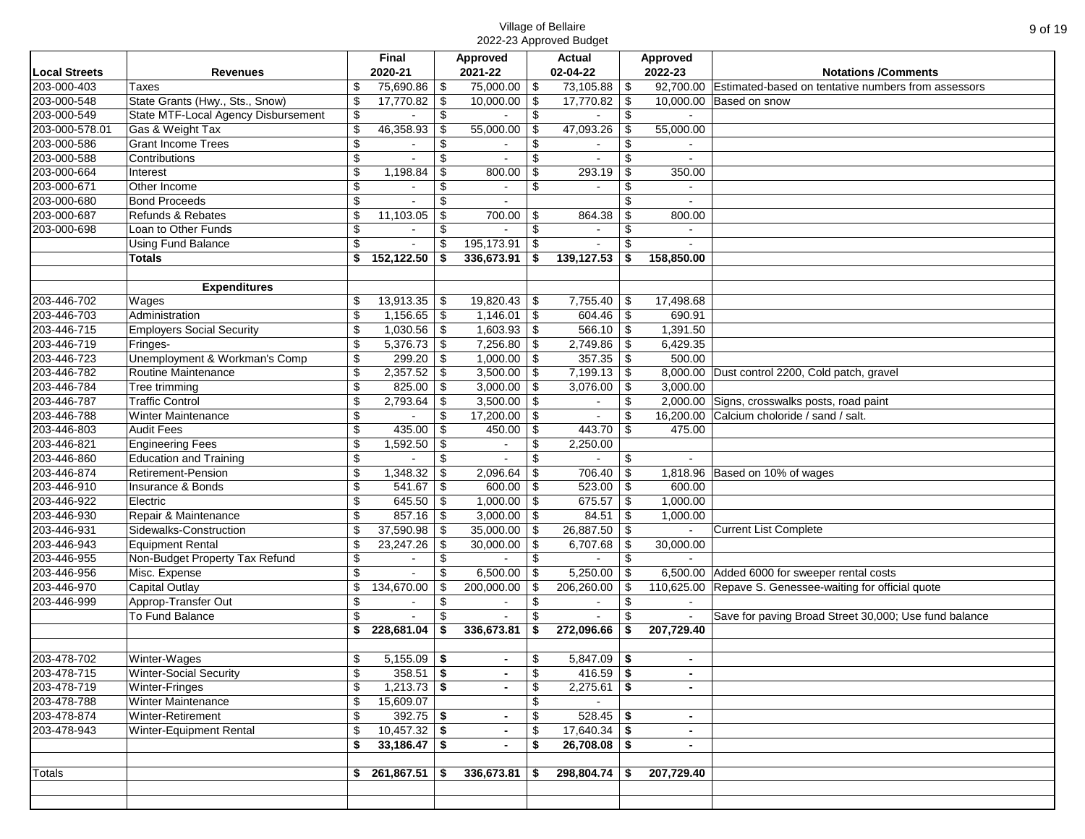|                      |                                     | Final                             | <b>Approved</b>          |     | <b>Actual</b>   |     | <b>Approved</b>          |                                                       |
|----------------------|-------------------------------------|-----------------------------------|--------------------------|-----|-----------------|-----|--------------------------|-------------------------------------------------------|
| <b>Local Streets</b> | <b>Revenues</b>                     | 2020-21                           | 2021-22                  |     | 02-04-22        |     | 2022-23                  | <b>Notations /Comments</b>                            |
| 203-000-403          | Taxes                               | 75,690.86<br>\$                   | \$<br>75,000.00          | -\$ | 73,105.88       | \$  | 92.700.00                | Estimated-based on tentative numbers from assessors   |
| 203-000-548          | State Grants (Hwy., Sts., Snow)     | 17,770.82<br>\$                   | \$<br>10,000.00          | \$  | 17,770.82       | \$  | 10,000.00                | Based on snow                                         |
| 203-000-549          | State MTF-Local Agency Disbursement | \$                                | \$                       | \$  |                 | \$  |                          |                                                       |
| 203-000-578.01       | Gas & Weight Tax                    | \$<br>46,358.93                   | \$<br>55,000.00          | \$  | 47,093.26       | \$  | 55,000.00                |                                                       |
| 203-000-586          | <b>Grant Income Trees</b>           | \$                                | \$                       | \$  |                 | \$  |                          |                                                       |
| 203-000-588          | Contributions                       | \$                                | \$                       | \$  | $\sim$          | \$  | $\sim$                   |                                                       |
| 203-000-664          | Interest                            | \$<br>1,198.84                    | \$<br>800.00             | \$  | 293.19          | \$  | 350.00                   |                                                       |
| 203-000-671          | Other Income                        | \$                                | \$                       | \$  | $\sim$          | \$  | $\sim$                   |                                                       |
| 203-000-680          | <b>Bond Proceeds</b>                | \$                                | \$                       |     |                 | \$  | ä,                       |                                                       |
| 203-000-687          | Refunds & Rebates                   | \$<br>11,103.05                   | \$<br>700.00             | \$  | 864.38          | \$  | 800.00                   |                                                       |
| 203-000-698          | Loan to Other Funds                 | \$                                | \$                       | \$  |                 | \$  | $\blacksquare$           |                                                       |
|                      | <b>Using Fund Balance</b>           | \$<br>$\mathcal{L}^{\mathcal{L}}$ | \$<br>195,173.91         | \$  | $\sim$          | \$  | $\sim$                   |                                                       |
|                      | Totals                              | 152,122.50<br>\$                  | \$<br>336,673.91         | S.  | 139,127.53      | \$  | 158,850.00               |                                                       |
|                      |                                     |                                   |                          |     |                 |     |                          |                                                       |
|                      | <b>Expenditures</b>                 |                                   |                          |     |                 |     |                          |                                                       |
| 203-446-702          | Wages                               | 13,913.35<br>\$                   | \$<br>19,820.43          | -\$ | $7,755.40$ \\$  |     | 17,498.68                |                                                       |
| 203-446-703          | Administration                      | \$<br>1,156.65                    | \$<br>1,146.01           | \$  | 604.46          | -\$ | 690.91                   |                                                       |
| 203-446-715          | <b>Employers Social Security</b>    | \$<br>1,030.56                    | \$<br>1,603.93           | \$  | $566.10$ \$     |     | 1,391.50                 |                                                       |
| 203-446-719          | Fringes-                            | \$<br>5,376.73                    | \$<br>7,256.80           | \$  | 2,749.86        | \$  | 6,429.35                 |                                                       |
| 203-446-723          | Unemployment & Workman's Comp       | \$<br>299.20                      | \$<br>1,000.00           | \$  | $357.35$ \\$    |     | 500.00                   |                                                       |
| 203-446-782          | Routine Maintenance                 | \$<br>2,357.52                    | \$<br>3,500.00           | \$  | $7,199.13$ \$   |     | 8,000.00                 | Dust control 2200, Cold patch, gravel                 |
| 203-446-784          | Tree trimming                       | \$<br>825.00                      | \$<br>3,000.00           | \$  | 3,076.00        | \$  | 3,000.00                 |                                                       |
| 203-446-787          | <b>Traffic Control</b>              | \$<br>2,793.64                    | \$<br>3,500.00           | \$  |                 | \$  | 2,000.00                 | Signs, crosswalks posts, road paint                   |
| 203-446-788          | <b>Winter Maintenance</b>           | \$                                | \$<br>17,200.00          | \$  | $\sim$          | \$  | 16,200.00                | Calcium choloride / sand / salt.                      |
| 203-446-803          | <b>Audit Fees</b>                   | \$<br>435.00                      | \$<br>450.00             | \$  | 443.70          | \$  | 475.00                   |                                                       |
| 203-446-821          | <b>Engineering Fees</b>             | \$<br>1,592.50                    | \$<br>$\sim$             | \$  | 2,250.00        |     |                          |                                                       |
| 203-446-860          | <b>Education and Training</b>       | \$                                | \$                       | \$  |                 | \$  |                          |                                                       |
| 203-446-874          | <b>Retirement-Pension</b>           | 1,348.32<br>\$                    | \$<br>2,096.64           | \$  | 706.40          | \$  | 1,818.96                 | Based on 10% of wages                                 |
| 203-446-910          | Insurance & Bonds                   | 541.67<br>\$                      | \$<br>600.00             | \$  | 523.00          | \$  | 600.00                   |                                                       |
| 203-446-922          | Electric                            | \$<br>645.50                      | \$<br>1,000.00           | \$  | 675.57          | \$  | 1,000.00                 |                                                       |
| 203-446-930          | Repair & Maintenance                | 857.16<br>\$                      | \$<br>3,000.00           | \$  | 84.51           | -\$ | 1,000.00                 |                                                       |
| 203-446-931          | Sidewalks-Construction              | \$<br>37,590.98                   | \$<br>35,000.00          | \$  | 26,887.50       | \$  | ä,                       | <b>Current List Complete</b>                          |
| 203-446-943          | <b>Equipment Rental</b>             | 23,247.26<br>\$                   | \$<br>30,000.00          | \$  | 6,707.68        | \$  | 30,000.00                |                                                       |
| 203-446-955          | Non-Budget Property Tax Refund      | \$                                | \$                       | \$  |                 | \$  |                          |                                                       |
| 203-446-956          | Misc. Expense                       | \$<br>$\blacksquare$              | \$<br>6,500.00           | \$  | 5,250.00        | \$  | 6,500.00                 | Added 6000 for sweeper rental costs                   |
| 203-446-970          | Capital Outlay                      | \$<br>134,670.00                  | \$<br>200,000.00         | \$  | 206,260.00      | \$  | 110,625.00               | Repave S. Genessee-waiting for official quote         |
| 203-446-999          | Approp-Transfer Out                 | \$<br>$\blacksquare$              | \$<br>$\sim$             | \$  | $\sim$          | \$  | $\sim$                   |                                                       |
|                      | To Fund Balance                     | \$                                | \$                       | \$  |                 | \$  | $\sim$                   | Save for paving Broad Street 30,000; Use fund balance |
|                      |                                     | \$<br>228,681.04                  | \$<br>336,673.81         | \$  | 272,096.66      | \$  | 207,729.40               |                                                       |
|                      |                                     |                                   |                          |     |                 |     |                          |                                                       |
| 203-478-702          | Winter-Wages                        | $5,155.09$ \$<br>\$               | $\overline{\phantom{a}}$ | \$  | $5,847.09$ \\$  |     | $\overline{\phantom{a}}$ |                                                       |
| 203-478-715          | Winter-Social Security              | $358.51$ \$<br>\$                 | $\blacksquare$           | \$  | $416.59$ \$     |     | $\blacksquare$           |                                                       |
| 203-478-719          | Winter-Fringes                      | \$<br>$1,213.73$ \$               | $\blacksquare$           | \$  | $2,275.61$ \$   |     | $\blacksquare$           |                                                       |
| 203-478-788          | Winter Maintenance                  | 15,609.07<br>\$                   |                          | \$  |                 |     |                          |                                                       |
| 203-478-874          | Winter-Retirement                   | $392.75$ \$<br>\$                 |                          | \$  | $528.45$ \$     |     | $\blacksquare$           |                                                       |
| 203-478-943          | Winter-Equipment Rental             | $10,457.32$ \$<br>\$              | $\blacksquare$           | \$  | $17,640.34$ \$  |     | $\blacksquare$           |                                                       |
|                      |                                     | $33,186.47$ \$<br>\$              | $\blacksquare$           | \$  | $26,708.08$ \$  |     | $\sim$                   |                                                       |
|                      |                                     |                                   |                          |     |                 |     |                          |                                                       |
| Totals               |                                     | \$ 261,867.51                     | \$<br>336,673.81         | \$  | $298,804.74$ \$ |     | 207,729.40               |                                                       |
|                      |                                     |                                   |                          |     |                 |     |                          |                                                       |
|                      |                                     |                                   |                          |     |                 |     |                          |                                                       |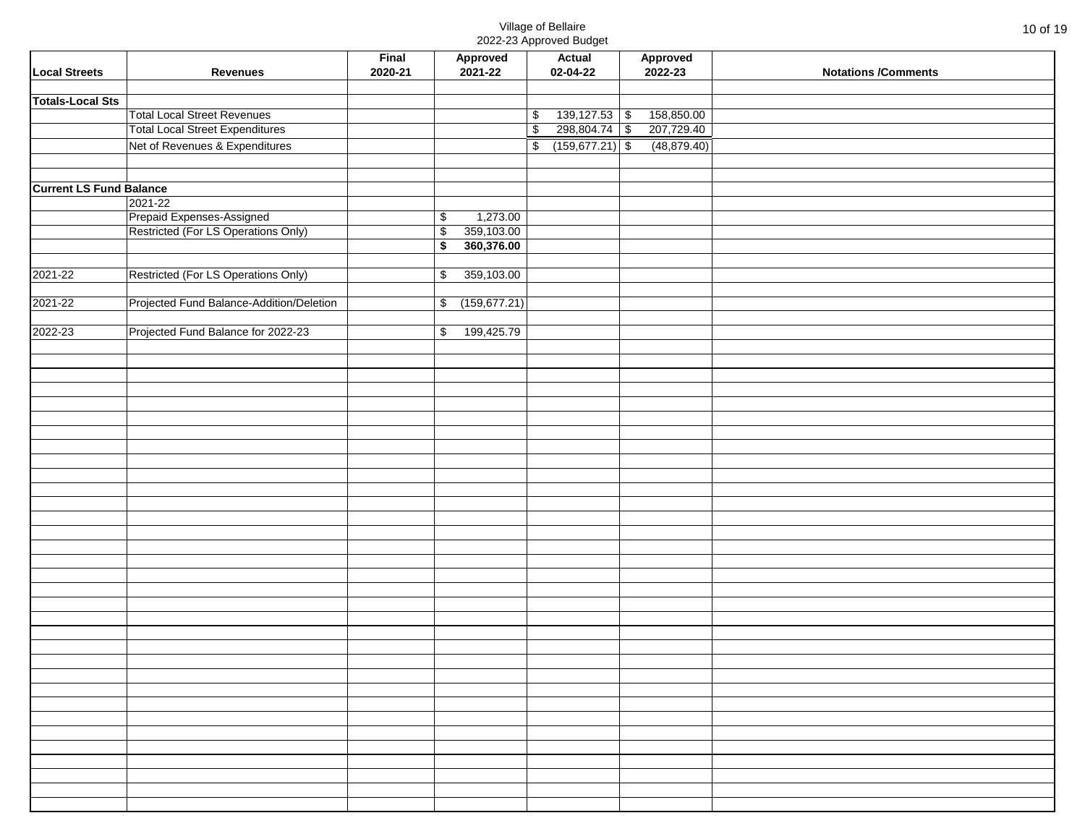| <b>Local Streets</b>           | <b>Revenues</b>                          | Final<br>2020-21 | <b>Approved</b><br>2021-22                 | <b>Actual</b><br>02-04-22                       | Approved<br>2022-23 | <b>Notations /Comments</b> |
|--------------------------------|------------------------------------------|------------------|--------------------------------------------|-------------------------------------------------|---------------------|----------------------------|
|                                |                                          |                  |                                            |                                                 |                     |                            |
| <b>Totals-Local Sts</b>        |                                          |                  |                                            |                                                 |                     |                            |
|                                | <b>Total Local Street Revenues</b>       |                  |                                            | $139,127.53$ \$<br>\$                           | 158,850.00          |                            |
|                                | <b>Total Local Street Expenditures</b>   |                  |                                            | $298,804.74$ \$<br>$\overline{\$}$              | 207,729.40          |                            |
|                                | Net of Revenues & Expenditures           |                  |                                            | $(159, 677.21)$ \$<br>$\boldsymbol{\mathsf{D}}$ | (48, 879.40)        |                            |
|                                |                                          |                  |                                            |                                                 |                     |                            |
| <b>Current LS Fund Balance</b> |                                          |                  |                                            |                                                 |                     |                            |
|                                | 2021-22                                  |                  |                                            |                                                 |                     |                            |
|                                | Prepaid Expenses-Assigned                |                  | 1,273.00<br>$\,$                           |                                                 |                     |                            |
|                                | Restricted (For LS Operations Only)      |                  | $\sqrt[6]{\frac{1}{2}}$<br>359,103.00      |                                                 |                     |                            |
|                                |                                          |                  | 360,376.00<br>$\overline{\bullet}$         |                                                 |                     |                            |
|                                |                                          |                  |                                            |                                                 |                     |                            |
| 2021-22                        | Restricted (For LS Operations Only)      |                  | 359,103.00<br>$\boldsymbol{\mathsf{S}}$    |                                                 |                     |                            |
|                                |                                          |                  |                                            |                                                 |                     |                            |
| 2021-22                        | Projected Fund Balance-Addition/Deletion |                  | $\boldsymbol{\mathsf{S}}$<br>(159, 677.21) |                                                 |                     |                            |
|                                |                                          |                  |                                            |                                                 |                     |                            |
| 2022-23                        | Projected Fund Balance for 2022-23       |                  | $\sqrt[6]{2}$<br>199,425.79                |                                                 |                     |                            |
|                                |                                          |                  |                                            |                                                 |                     |                            |
|                                |                                          |                  |                                            |                                                 |                     |                            |
|                                |                                          |                  |                                            |                                                 |                     |                            |
|                                |                                          |                  |                                            |                                                 |                     |                            |
|                                |                                          |                  |                                            |                                                 |                     |                            |
|                                |                                          |                  |                                            |                                                 |                     |                            |
|                                |                                          |                  |                                            |                                                 |                     |                            |
|                                |                                          |                  |                                            |                                                 |                     |                            |
|                                |                                          |                  |                                            |                                                 |                     |                            |
|                                |                                          |                  |                                            |                                                 |                     |                            |
|                                |                                          |                  |                                            |                                                 |                     |                            |
|                                |                                          |                  |                                            |                                                 |                     |                            |
|                                |                                          |                  |                                            |                                                 |                     |                            |
|                                |                                          |                  |                                            |                                                 |                     |                            |
|                                |                                          |                  |                                            |                                                 |                     |                            |
|                                |                                          |                  |                                            |                                                 |                     |                            |
|                                |                                          |                  |                                            |                                                 |                     |                            |
|                                |                                          |                  |                                            |                                                 |                     |                            |
|                                |                                          |                  |                                            |                                                 |                     |                            |
|                                |                                          |                  |                                            |                                                 |                     |                            |
|                                |                                          |                  |                                            |                                                 |                     |                            |
|                                |                                          |                  |                                            |                                                 |                     |                            |
|                                |                                          |                  |                                            |                                                 |                     |                            |
|                                |                                          |                  |                                            |                                                 |                     |                            |
|                                |                                          |                  |                                            |                                                 |                     |                            |
|                                |                                          |                  |                                            |                                                 |                     |                            |
|                                |                                          |                  |                                            |                                                 |                     |                            |
|                                |                                          |                  |                                            |                                                 |                     |                            |
|                                |                                          |                  |                                            |                                                 |                     |                            |
|                                |                                          |                  |                                            |                                                 |                     |                            |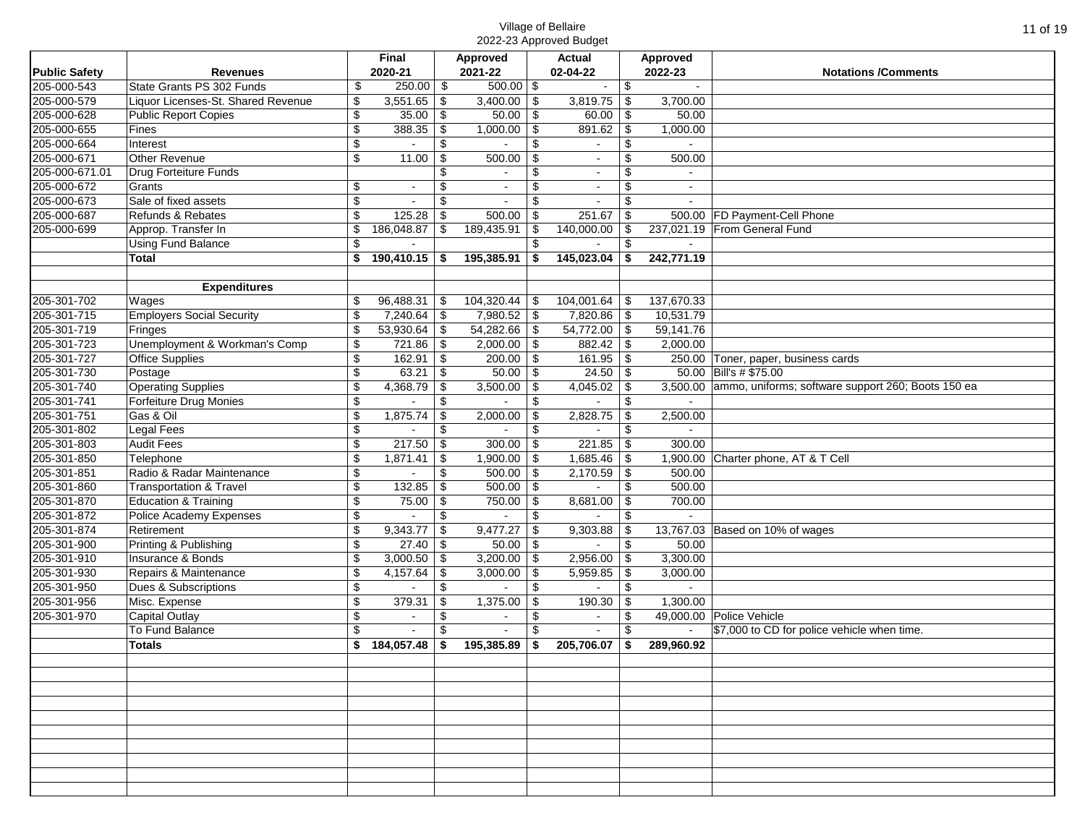|                      |                                    | <b>Final</b>          |                          | Approved       |    | <b>Actual</b>  | Approved         |                                                    |
|----------------------|------------------------------------|-----------------------|--------------------------|----------------|----|----------------|------------------|----------------------------------------------------|
| <b>Public Safety</b> | <b>Revenues</b>                    | 2020-21               |                          | 2021-22        |    | 02-04-22       | 2022-23          | <b>Notations /Comments</b>                         |
| 205-000-543          | State Grants PS 302 Funds          | \$<br>250.00          | \$                       | $500.00$ \$    |    |                | \$<br>$\sim$     |                                                    |
| 205-000-579          | Liquor Licenses-St. Shared Revenue | \$<br>3,551.65        | \$                       | 3,400.00       | \$ | 3,819.75       | \$<br>3,700.00   |                                                    |
| 205-000-628          | <b>Public Report Copies</b>        | \$<br>35.00           | \$                       | 50.00          | \$ | 60.00          | \$<br>50.00      |                                                    |
| 205-000-655          | Fines                              | \$<br>388.35          | \$                       | 1,000.00       | \$ | 891.62         | \$<br>1,000.00   |                                                    |
| 205-000-664          | Interest                           | \$                    | \$                       |                | \$ |                | \$<br>$\sim$     |                                                    |
| 205-000-671          | Other Revenue                      | \$<br>11.00           | \$                       | 500.00         | \$ | $\blacksquare$ | \$<br>500.00     |                                                    |
| 205-000-671.01       | Drug Forteiture Funds              |                       | \$                       | $\sim$         | \$ | $\blacksquare$ | \$<br>$\sim$     |                                                    |
| 205-000-672          | Grants                             | \$                    | \$                       |                | \$ |                | \$<br>$\sim$     |                                                    |
| 205-000-673          | Sale of fixed assets               | \$<br>$\sim$          | \$                       | $\blacksquare$ | \$ | $\blacksquare$ | \$<br>$\sim$     |                                                    |
| 205-000-687          | Refunds & Rebates                  | \$<br>125.28          | \$                       | 500.00         | \$ | 251.67         | \$<br>500.00     | FD Payment-Cell Phone                              |
| 205-000-699          | Approp. Transfer In                | \$<br>186,048.87      | \$                       | 189,435.91     |    | 140,000.00     | \$<br>237,021.19 | <b>From General Fund</b>                           |
|                      | <b>Using Fund Balance</b>          | \$                    |                          |                | \$ |                | \$               |                                                    |
|                      | Total                              | \$<br>$190,410.15$ \$ |                          | 195,385.91     | \$ | 145,023.04     | \$<br>242,771.19 |                                                    |
|                      |                                    |                       |                          |                |    |                |                  |                                                    |
|                      | <b>Expenditures</b>                |                       |                          |                |    |                |                  |                                                    |
| 205-301-702          | Wages                              | \$<br>96,488.31       | \$                       | 104,320.44     | S  | 104,001.64     | \$<br>137,670.33 |                                                    |
| 205-301-715          | <b>Employers Social Security</b>   | \$<br>7,240.64        | \$                       | 7,980.52       | \$ | 7,820.86       | \$<br>10,531.79  |                                                    |
| 205-301-719          | Fringes                            | \$<br>53,930.64       | \$                       | 54,282.66      | \$ | 54,772.00      | \$<br>59,141.76  |                                                    |
| 205-301-723          | Unemployment & Workman's Comp      | \$<br>721.86          | \$                       | 2,000.00       | \$ | 882.42         | \$<br>2,000.00   |                                                    |
| 205-301-727          | <b>Office Supplies</b>             | \$<br>162.91          | \$                       | 200.00         | \$ | 161.95         | \$<br>250.00     | Toner, paper, business cards                       |
| 205-301-730          | Postage                            | \$<br>63.21           | \$                       | 50.00          | \$ | 24.50          | \$<br>50.00      | Bill's # \$75.00                                   |
| 205-301-740          | <b>Operating Supplies</b>          | \$<br>4,368.79        | \$                       | 3,500.00       | \$ | 4,045.02       | \$<br>3,500.00   | ammo, uniforms; software support 260; Boots 150 ea |
| 205-301-741          | Forfeiture Drug Monies             | \$                    | \$                       |                | \$ |                | \$               |                                                    |
| 205-301-751          | Gas & Oil                          | \$<br>1,875.74        | \$                       | 2,000.00       | \$ | 2,828.75       | \$<br>2,500.00   |                                                    |
| 205-301-802          | <b>Legal Fees</b>                  | \$                    | \$                       |                | \$ |                | \$<br>$\sim$     |                                                    |
| 205-301-803          | <b>Audit Fees</b>                  | \$<br>217.50          | \$                       | 300.00         | \$ | 221.85         | \$<br>300.00     |                                                    |
| 205-301-850          | Telephone                          | \$<br>1,871.41        | \$                       | 1,900.00       | \$ | 1,685.46       | \$<br>1,900.00   | Charter phone, AT & T Cell                         |
| 205-301-851          | Radio & Radar Maintenance          | \$                    | \$                       | 500.00         | \$ | 2,170.59       | \$<br>500.00     |                                                    |
| 205-301-860          | <b>Transportation &amp; Travel</b> | \$<br>132.85          | \$                       | 500.00         | \$ |                | \$<br>500.00     |                                                    |
| 205-301-870          | Education & Training               | \$<br>75.00           | \$                       | 750.00         | \$ | 8,681.00       | \$<br>700.00     |                                                    |
| 205-301-872          | Police Academy Expenses            | \$                    | \$                       |                | \$ |                | \$               |                                                    |
| 205-301-874          | Retirement                         | \$<br>9,343.77        | \$                       | 9,477.27       | \$ | 9,303.88       | \$<br>13,767.03  | Based on 10% of wages                              |
| 205-301-900          | Printing & Publishing              | \$<br>27.40           | \$                       | 50.00          | \$ |                | \$<br>50.00      |                                                    |
| 205-301-910          | Insurance & Bonds                  | \$<br>3,000.50        | \$                       | 3,200.00       | \$ | 2,956.00       | \$<br>3,300.00   |                                                    |
| 205-301-930          | Repairs & Maintenance              | \$<br>4,157.64        | \$                       | 3,000.00       | \$ | 5,959.85       | \$<br>3,000.00   |                                                    |
| 205-301-950          | Dues & Subscriptions               | \$                    | \$                       |                | \$ | $\sim$         | \$<br>$\sim$     |                                                    |
| 205-301-956          | Misc. Expense                      | \$<br>379.31          | \$                       | 1,375.00       | \$ | 190.30         | \$<br>1,300.00   |                                                    |
| 205-301-970          | Capital Outlay                     | \$<br>$\sim$          | \$                       | $\sim$         | \$ | $\sim$         | \$               | 49,000.00 Police Vehicle                           |
|                      | To Fund Balance                    | \$                    | $\overline{\mathcal{S}}$ |                | \$ |                | \$               | \$7,000 to CD for police vehicle when time.        |
|                      | <b>Totals</b>                      | \$<br>184,057.48      | \$                       | 195,385.89     | \$ | 205,706.07     | \$<br>289,960.92 |                                                    |
|                      |                                    |                       |                          |                |    |                |                  |                                                    |
|                      |                                    |                       |                          |                |    |                |                  |                                                    |
|                      |                                    |                       |                          |                |    |                |                  |                                                    |
|                      |                                    |                       |                          |                |    |                |                  |                                                    |
|                      |                                    |                       |                          |                |    |                |                  |                                                    |
|                      |                                    |                       |                          |                |    |                |                  |                                                    |
|                      |                                    |                       |                          |                |    |                |                  |                                                    |
|                      |                                    |                       |                          |                |    |                |                  |                                                    |
|                      |                                    |                       |                          |                |    |                |                  |                                                    |
|                      |                                    |                       |                          |                |    |                |                  |                                                    |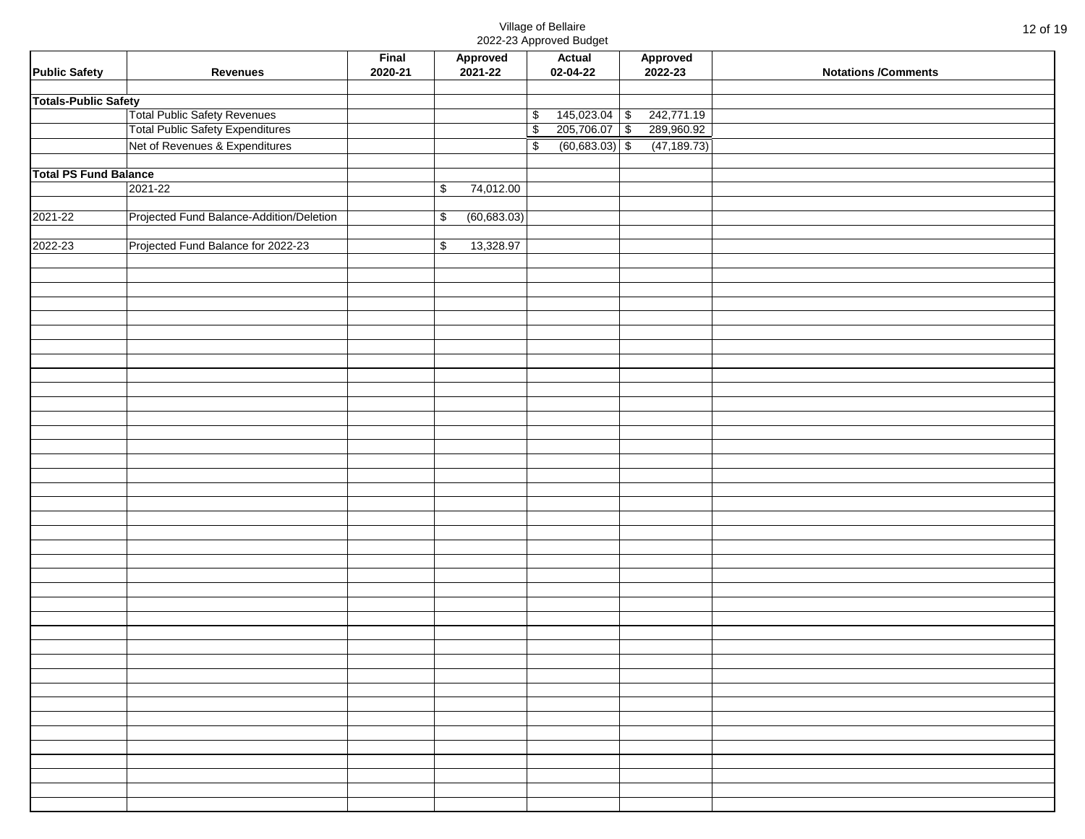|                              |                                          | Final   | Approved<br>2021-22                     | Actual                                      | Approved<br>2022-23 | <b>Notations /Comments</b> |
|------------------------------|------------------------------------------|---------|-----------------------------------------|---------------------------------------------|---------------------|----------------------------|
| <b>Public Safety</b>         | <b>Revenues</b>                          | 2020-21 |                                         | 02-04-22                                    |                     |                            |
| <b>Totals-Public Safety</b>  |                                          |         |                                         |                                             |                     |                            |
|                              | <b>Total Public Safety Revenues</b>      |         |                                         | $145,023.04$ \$<br>\$                       | 242,771.19          |                            |
|                              | <b>Total Public Safety Expenditures</b>  |         |                                         | $205,706.07$ \$<br>$\overline{\mathcal{L}}$ | 289,960.92          |                            |
|                              | Net of Revenues & Expenditures           |         |                                         | $(60, 683.03)$ \$<br>$\bullet$              | (47, 189.73)        |                            |
|                              |                                          |         |                                         |                                             |                     |                            |
| <b>Total PS Fund Balance</b> |                                          |         |                                         |                                             |                     |                            |
|                              | 2021-22                                  |         | 74,012.00<br>$\boldsymbol{\mathsf{\$}}$ |                                             |                     |                            |
|                              |                                          |         |                                         |                                             |                     |                            |
| 2021-22                      | Projected Fund Balance-Addition/Deletion |         | $\sqrt{2}$<br>(60, 683.03)              |                                             |                     |                            |
| 2022-23                      | Projected Fund Balance for 2022-23       |         | 13,328.97<br>$\,$                       |                                             |                     |                            |
|                              |                                          |         |                                         |                                             |                     |                            |
|                              |                                          |         |                                         |                                             |                     |                            |
|                              |                                          |         |                                         |                                             |                     |                            |
|                              |                                          |         |                                         |                                             |                     |                            |
|                              |                                          |         |                                         |                                             |                     |                            |
|                              |                                          |         |                                         |                                             |                     |                            |
|                              |                                          |         |                                         |                                             |                     |                            |
|                              |                                          |         |                                         |                                             |                     |                            |
|                              |                                          |         |                                         |                                             |                     |                            |
|                              |                                          |         |                                         |                                             |                     |                            |
|                              |                                          |         |                                         |                                             |                     |                            |
|                              |                                          |         |                                         |                                             |                     |                            |
|                              |                                          |         |                                         |                                             |                     |                            |
|                              |                                          |         |                                         |                                             |                     |                            |
|                              |                                          |         |                                         |                                             |                     |                            |
|                              |                                          |         |                                         |                                             |                     |                            |
|                              |                                          |         |                                         |                                             |                     |                            |
|                              |                                          |         |                                         |                                             |                     |                            |
|                              |                                          |         |                                         |                                             |                     |                            |
|                              |                                          |         |                                         |                                             |                     |                            |
|                              |                                          |         |                                         |                                             |                     |                            |
|                              |                                          |         |                                         |                                             |                     |                            |
|                              |                                          |         |                                         |                                             |                     |                            |
|                              |                                          |         |                                         |                                             |                     |                            |
|                              |                                          |         |                                         |                                             |                     |                            |
|                              |                                          |         |                                         |                                             |                     |                            |
|                              |                                          |         |                                         |                                             |                     |                            |
|                              |                                          |         |                                         |                                             |                     |                            |
|                              |                                          |         |                                         |                                             |                     |                            |
|                              |                                          |         |                                         |                                             |                     |                            |
|                              |                                          |         |                                         |                                             |                     |                            |
|                              |                                          |         |                                         |                                             |                     |                            |
|                              |                                          |         |                                         |                                             |                     |                            |
|                              |                                          |         |                                         |                                             |                     |                            |
|                              |                                          |         |                                         |                                             |                     |                            |
|                              |                                          |         |                                         |                                             |                     |                            |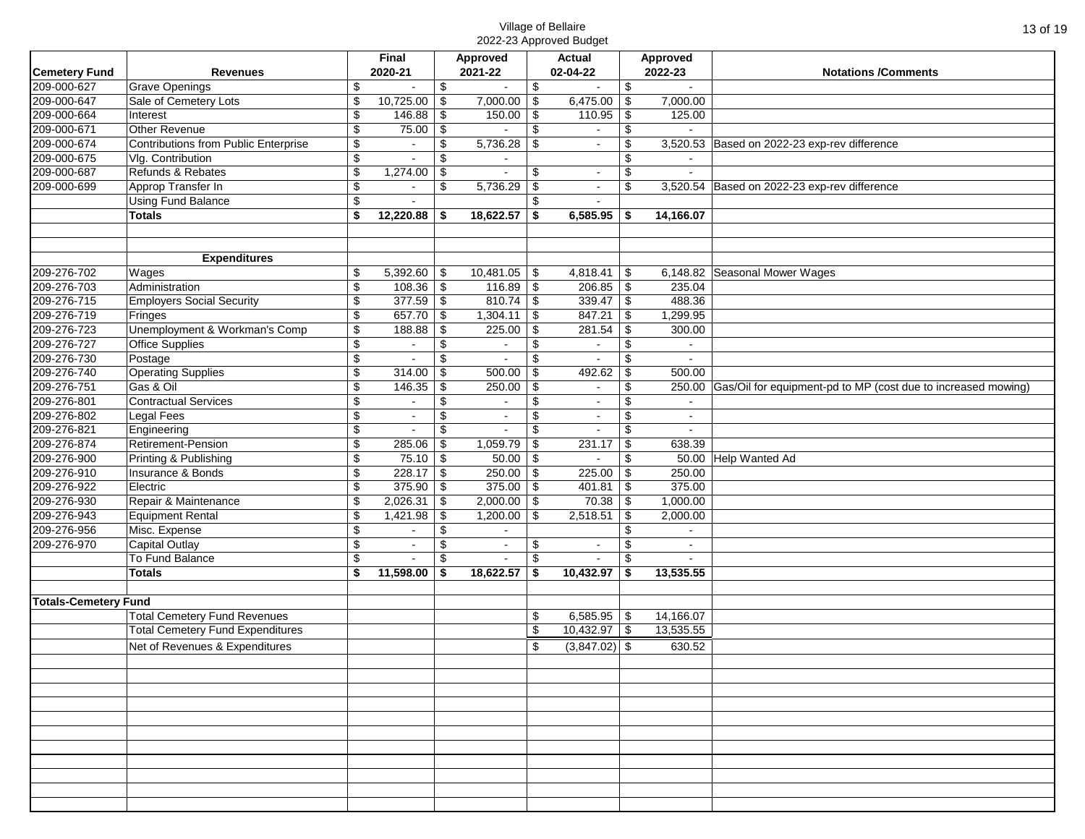|                             |                                         |                           | <b>Final</b>   | Approved             | <b>Actual</b>         | Approved                       |                                                               |
|-----------------------------|-----------------------------------------|---------------------------|----------------|----------------------|-----------------------|--------------------------------|---------------------------------------------------------------|
| <b>Cemetery Fund</b>        | Revenues                                |                           | 2020-21        | 2021-22              | 02-04-22              | 2022-23                        | <b>Notations /Comments</b>                                    |
| 209-000-627                 | <b>Grave Openings</b>                   | \$                        |                | \$                   | \$<br>$\blacksquare$  | \$<br>$\sim$                   |                                                               |
| 209-000-647                 | Sale of Cemetery Lots                   | \$                        | 10,725.00      | \$<br>7,000.00       | \$<br>6,475.00        | \$<br>7,000.00                 |                                                               |
| 209-000-664                 | Interest                                | \$                        | 146.88         | \$<br>150.00         | \$<br>110.95          | \$<br>125.00                   |                                                               |
| 209-000-671                 | Other Revenue                           | \$                        | 75.00          | \$                   | \$<br>$\blacksquare$  | \$                             |                                                               |
| 209-000-674                 | Contributions from Public Enterprise    | \$                        | $\blacksquare$ | \$<br>5,736.28       | \$<br>$\sim$          | \$                             | 3,520.53 Based on 2022-23 exp-rev difference                  |
| 209-000-675                 | Vlg. Contribution                       | $\boldsymbol{\mathsf{S}}$ |                | \$                   |                       | \$                             |                                                               |
| 209-000-687                 | Refunds & Rebates                       | \$                        | 1,274.00       | \$<br>$\sim$         | \$<br>$\blacksquare$  | \$<br>$\sim$                   |                                                               |
| 209-000-699                 | Approp Transfer In                      | \$                        |                | \$<br>5,736.29       | \$                    | \$                             | 3,520.54 Based on 2022-23 exp-rev difference                  |
|                             | <b>Using Fund Balance</b>               | \$                        | $\blacksquare$ |                      | \$<br>$\blacksquare$  |                                |                                                               |
|                             | <b>Totals</b>                           | \$                        | 12,220.88      | \$<br>18,622.57      | \$<br>6,585.95        | \$<br>14,166.07                |                                                               |
|                             |                                         |                           |                |                      |                       |                                |                                                               |
|                             |                                         |                           |                |                      |                       |                                |                                                               |
|                             | <b>Expenditures</b>                     |                           |                |                      |                       |                                |                                                               |
| 209-276-702                 | Wages                                   | \$                        | 5,392.60       | \$<br>10,481.05      | \$<br>4,818.41        | \$<br>6,148.82                 | Seasonal Mower Wages                                          |
| 209-276-703                 | Administration                          | \$                        | 108.36         | \$<br>116.89         | \$<br>206.85          | \$<br>235.04                   |                                                               |
| 209-276-715                 | <b>Employers Social Security</b>        | \$                        | 377.59         | \$<br>810.74         | \$<br>339.47          | \$<br>488.36                   |                                                               |
| 209-276-719                 | Fringes                                 | \$                        | 657.70         | \$<br>1,304.11       | \$<br>847.21          | \$<br>1,299.95                 |                                                               |
| 209-276-723                 | Unemployment & Workman's Comp           | $\overline{\$}$           | 188.88         | \$<br>225.00         | \$<br>281.54          | \$<br>300.00                   |                                                               |
| 209-276-727                 | <b>Office Supplies</b>                  | $\sqrt[6]{3}$             | $\sim$         | \$<br>$\sim$         | \$<br>$\blacksquare$  | \$<br>$\overline{\phantom{a}}$ |                                                               |
| 209-276-730                 | Postage                                 | \$                        |                | \$                   | \$                    | \$<br>$\sim$                   |                                                               |
| 209-276-740                 | <b>Operating Supplies</b>               | \$                        | 314.00         | \$<br>500.00         | \$<br>492.62          | \$<br>500.00                   |                                                               |
| 209-276-751                 | Gas & Oil                               | \$                        | 146.35         | \$<br>250.00         | \$<br>$\blacksquare$  | \$<br>250.00                   | Gas/Oil for equipment-pd to MP (cost due to increased mowing) |
| 209-276-801                 | <b>Contractual Services</b>             | \$                        | $\sim$         | \$<br>$\blacksquare$ | \$<br>$\blacksquare$  | \$<br>$\sim$                   |                                                               |
| 209-276-802                 | Legal Fees                              | \$                        | $\sim$         | \$<br>$\blacksquare$ | \$<br>$\blacksquare$  | \$<br>$\mathbf{r}$             |                                                               |
| 209-276-821                 | Engineering                             | \$                        | $\sim$         | \$<br>$\blacksquare$ | \$<br>$\overline{a}$  | \$<br>$\sim$                   |                                                               |
| 209-276-874                 | Retirement-Pension                      | \$                        | 285.06         | \$<br>1,059.79       | \$<br>231.17          | \$<br>638.39                   |                                                               |
| 209-276-900                 | Printing & Publishing                   | \$                        | 75.10          | \$<br>50.00          | \$<br>$\blacksquare$  | \$<br>50.00                    | Help Wanted Ad                                                |
| 209-276-910                 | Insurance & Bonds                       | \$                        | 228.17         | \$<br>250.00         | \$<br>225.00          | \$<br>250.00                   |                                                               |
| 209-276-922                 | Electric                                | \$                        | 375.90         | \$<br>375.00         | \$<br>401.81          | \$<br>375.00                   |                                                               |
| 209-276-930                 | Repair & Maintenance                    | \$                        | 2,026.31       | \$<br>2,000.00       | \$<br>70.38           | \$<br>1,000.00                 |                                                               |
| 209-276-943                 | <b>Equipment Rental</b>                 | \$                        | 1,421.98       | \$<br>1,200.00       | \$<br>2,518.51        | \$<br>2,000.00                 |                                                               |
| 209-276-956                 | Misc. Expense                           | \$                        |                | \$                   |                       | \$<br>$\sim$                   |                                                               |
| 209-276-970                 | <b>Capital Outlay</b>                   | \$                        | $\blacksquare$ | \$<br>$\blacksquare$ | \$<br>$\blacksquare$  | \$<br>$\blacksquare$           |                                                               |
|                             | To Fund Balance                         | \$                        | $\sim$         | \$<br>÷,             | \$<br>$\overline{a}$  | \$<br>$\sim$                   |                                                               |
|                             | <b>Totals</b>                           | \$                        | 11,598.00      | \$<br>18,622.57      | \$<br>10,432.97       | \$<br>13,535.55                |                                                               |
|                             |                                         |                           |                |                      |                       |                                |                                                               |
| <b>Totals-Cemetery Fund</b> |                                         |                           |                |                      |                       |                                |                                                               |
|                             | <b>Total Cemetery Fund Revenues</b>     |                           |                |                      | \$<br>$6,585.95$ \$   | 14,166.07                      |                                                               |
|                             | <b>Total Cemetery Fund Expenditures</b> |                           |                |                      | \$<br>$10,432.97$ \$  | 13,535.55                      |                                                               |
|                             |                                         |                           |                |                      |                       |                                |                                                               |
|                             | Net of Revenues & Expenditures          |                           |                |                      | \$<br>$(3,847.02)$ \$ | 630.52                         |                                                               |
|                             |                                         |                           |                |                      |                       |                                |                                                               |
|                             |                                         |                           |                |                      |                       |                                |                                                               |
|                             |                                         |                           |                |                      |                       |                                |                                                               |
|                             |                                         |                           |                |                      |                       |                                |                                                               |
|                             |                                         |                           |                |                      |                       |                                |                                                               |
|                             |                                         |                           |                |                      |                       |                                |                                                               |
|                             |                                         |                           |                |                      |                       |                                |                                                               |
|                             |                                         |                           |                |                      |                       |                                |                                                               |
|                             |                                         |                           |                |                      |                       |                                |                                                               |
|                             |                                         |                           |                |                      |                       |                                |                                                               |
|                             |                                         |                           |                |                      |                       |                                |                                                               |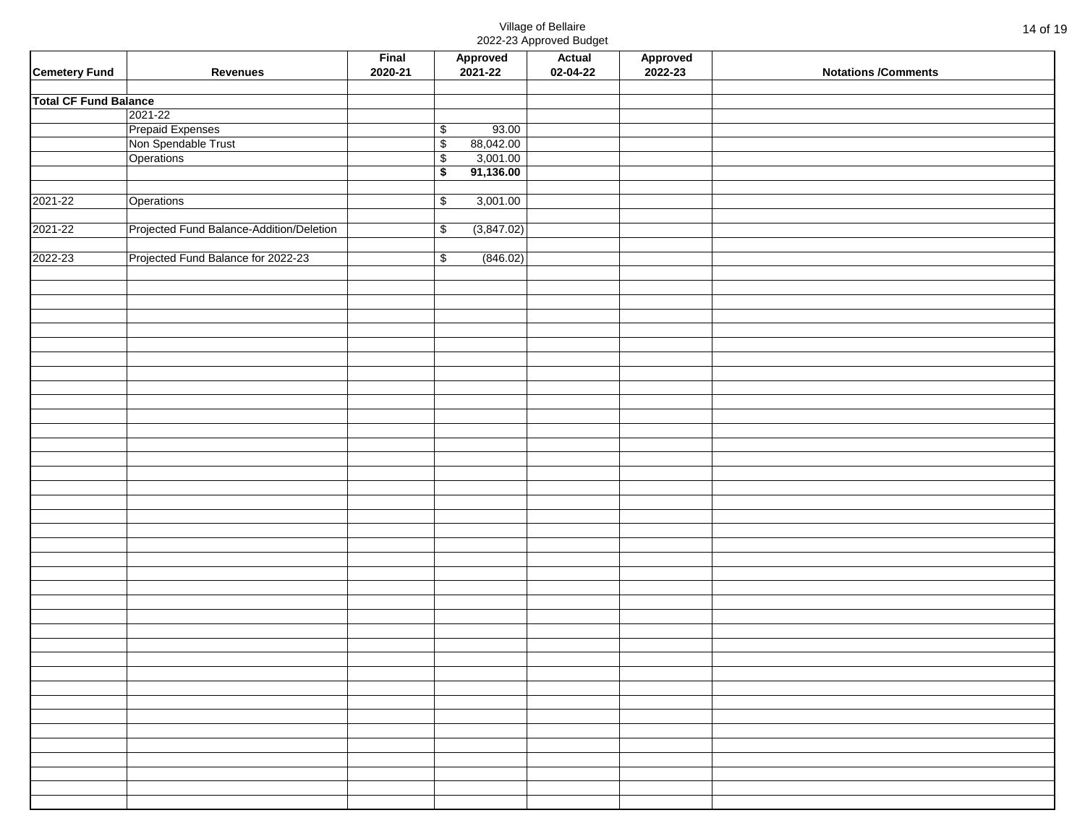| <b>Cemetery Fund</b>         | <b>Revenues</b>                          | Final<br>2020-21 | Approved<br>2021-22                  | Actual<br>02-04-22 | Approved<br>2022-23 | <b>Notations /Comments</b> |
|------------------------------|------------------------------------------|------------------|--------------------------------------|--------------------|---------------------|----------------------------|
| <b>Total CF Fund Balance</b> |                                          |                  |                                      |                    |                     |                            |
|                              |                                          |                  |                                      |                    |                     |                            |
|                              | 2021-22<br>Prepaid Expenses              |                  | 93.00                                |                    |                     |                            |
|                              |                                          |                  | $\sqrt[6]{\frac{1}{2}}$              |                    |                     |                            |
|                              | Non Spendable Trust                      |                  | $\overline{\$}$<br>88,042.00         |                    |                     |                            |
|                              | Operations                               |                  | 3,001.00<br>$\bullet$                |                    |                     |                            |
|                              |                                          |                  | $\sqrt[6]{\frac{1}{2}}$<br>91,136.00 |                    |                     |                            |
| 2021-22                      |                                          |                  |                                      |                    |                     |                            |
|                              | Operations                               |                  | 3,001.00<br>$\overline{\mathcal{E}}$ |                    |                     |                            |
|                              |                                          |                  |                                      |                    |                     |                            |
| 2021-22                      | Projected Fund Balance-Addition/Deletion |                  | (3,847.02)<br>$\sqrt{\frac{2}{3}}$   |                    |                     |                            |
|                              |                                          |                  |                                      |                    |                     |                            |
| 2022-23                      | Projected Fund Balance for 2022-23       |                  | $\overline{\mathcal{E}}$<br>(846.02) |                    |                     |                            |
|                              |                                          |                  |                                      |                    |                     |                            |
|                              |                                          |                  |                                      |                    |                     |                            |
|                              |                                          |                  |                                      |                    |                     |                            |
|                              |                                          |                  |                                      |                    |                     |                            |
|                              |                                          |                  |                                      |                    |                     |                            |
|                              |                                          |                  |                                      |                    |                     |                            |
|                              |                                          |                  |                                      |                    |                     |                            |
|                              |                                          |                  |                                      |                    |                     |                            |
|                              |                                          |                  |                                      |                    |                     |                            |
|                              |                                          |                  |                                      |                    |                     |                            |
|                              |                                          |                  |                                      |                    |                     |                            |
|                              |                                          |                  |                                      |                    |                     |                            |
|                              |                                          |                  |                                      |                    |                     |                            |
|                              |                                          |                  |                                      |                    |                     |                            |
|                              |                                          |                  |                                      |                    |                     |                            |
|                              |                                          |                  |                                      |                    |                     |                            |
|                              |                                          |                  |                                      |                    |                     |                            |
|                              |                                          |                  |                                      |                    |                     |                            |
|                              |                                          |                  |                                      |                    |                     |                            |
|                              |                                          |                  |                                      |                    |                     |                            |
|                              |                                          |                  |                                      |                    |                     |                            |
|                              |                                          |                  |                                      |                    |                     |                            |
|                              |                                          |                  |                                      |                    |                     |                            |
|                              |                                          |                  |                                      |                    |                     |                            |
|                              |                                          |                  |                                      |                    |                     |                            |
|                              |                                          |                  |                                      |                    |                     |                            |
|                              |                                          |                  |                                      |                    |                     |                            |
|                              |                                          |                  |                                      |                    |                     |                            |
|                              |                                          |                  |                                      |                    |                     |                            |
|                              |                                          |                  |                                      |                    |                     |                            |
|                              |                                          |                  |                                      |                    |                     |                            |
|                              |                                          |                  |                                      |                    |                     |                            |
|                              |                                          |                  |                                      |                    |                     |                            |
|                              |                                          |                  |                                      |                    |                     |                            |
|                              |                                          |                  |                                      |                    |                     |                            |
|                              |                                          |                  |                                      |                    |                     |                            |
|                              |                                          |                  |                                      |                    |                     |                            |
|                              |                                          |                  |                                      |                    |                     |                            |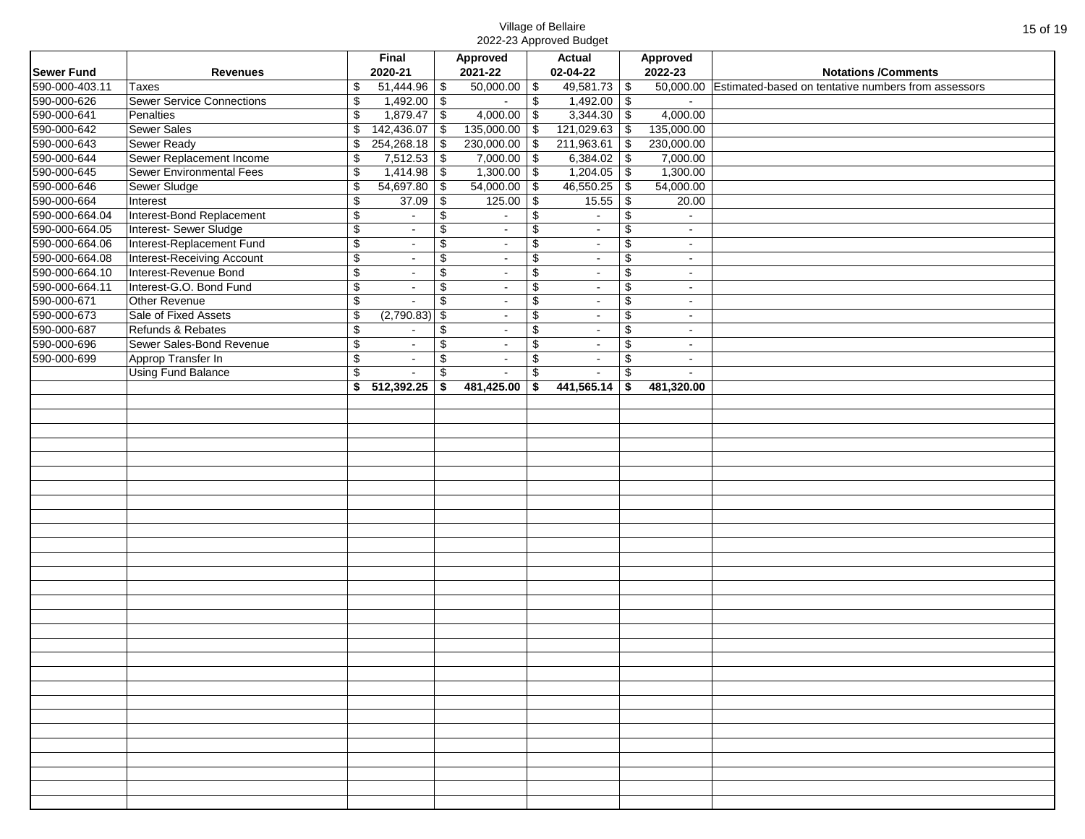|                   |                                  | Final                                     |                                | <b>Approved</b> |                         | <b>Actual</b>            |                                  | Approved       |                                                               |
|-------------------|----------------------------------|-------------------------------------------|--------------------------------|-----------------|-------------------------|--------------------------|----------------------------------|----------------|---------------------------------------------------------------|
| <b>Sewer Fund</b> | <b>Revenues</b>                  | 2020-21                                   |                                | 2021-22         |                         | 02-04-22                 |                                  | 2022-23        | <b>Notations /Comments</b>                                    |
| 590-000-403.11    | <b>Taxes</b>                     | 51,444.96<br>\$                           | \$                             | 50,000.00       | $\sqrt{3}$              | $49,581.73$ \$           |                                  |                | 50,000.00 Estimated-based on tentative numbers from assessors |
| 590-000-626       | <b>Sewer Service Connections</b> | $1,492.00$ \$<br>\$                       |                                | $\blacksquare$  | \$                      | $1,492.00$ \ \$          |                                  |                |                                                               |
| 590-000-641       | Penalties                        | 1,879.47<br>\$                            | \$                             | 4,000.00        | $\sqrt{3}$              | $3,344.30$ \$            |                                  | 4,000.00       |                                                               |
| 590-000-642       | Sewer Sales                      | 142,436.07<br>\$                          | $\overline{\$}$                | 135,000.00      | \$                      | $121,029.63$ \$          |                                  | 135,000.00     |                                                               |
| 590-000-643       | Sewer Ready                      | 254,268.18<br>\$                          | $\sqrt[6]{3}$                  | 230,000.00      | \$                      | $211,963.61$ \$          |                                  | 230,000.00     |                                                               |
| 590-000-644       | Sewer Replacement Income         | $7,512.53$ \$<br>\$                       |                                | 7,000.00        | $\sqrt{3}$              | $6,384.02$ \$            |                                  | 7,000.00       |                                                               |
| 590-000-645       | <b>Sewer Environmental Fees</b>  | 1,414.98<br>\$                            | $\sqrt{2}$                     | $1,300.00$ \$   |                         | $1,204.05$ \$            |                                  | 1,300.00       |                                                               |
| 590-000-646       | Sewer Sludge                     | 54,697.80<br>\$                           | $\overline{\mathbf{e}}$        | 54,000.00       | $\sqrt{ }$              | $46,550.25$ \$           |                                  | 54,000.00      |                                                               |
| 590-000-664       | Interest                         | 37.09<br>\$                               | $\overline{\boldsymbol{\phi}}$ | 125.00          | \$                      | $15.55$ \$               |                                  | 20.00          |                                                               |
| 590-000-664.04    | Interest-Bond Replacement        | \$<br>$\blacksquare$                      | \$                             | $\sim$          | \$                      | $\sim$                   | \$                               | $\bullet$      |                                                               |
| 590-000-664.05    | Interest- Sewer Sludge           | \$<br>$\blacksquare$                      | $\overline{\$}$                | $\sim$          | \$                      | $\omega$                 | \$                               | $\blacksquare$ |                                                               |
| 590-000-664.06    | Interest-Replacement Fund        | $\sqrt{2}$<br>$\blacksquare$              | $\overline{\$}$                | $\sim$          | $\sqrt[6]{3}$           | $\blacksquare$           | $\sqrt{2}$                       | $\sim$         |                                                               |
| 590-000-664.08    | Interest-Receiving Account       | $\sqrt[6]{\frac{1}{2}}$<br>$\blacksquare$ | $\overline{\mathbf{e}}$        | $\omega$        | \$                      | $\overline{\phantom{a}}$ | $\overline{\mathbf{e}}$          | $\bullet$      |                                                               |
| 590-000-664.10    | Interest-Revenue Bond            | \$<br>$\bullet$                           | \$                             | $\blacksquare$  | \$                      | $\sim$                   | \$                               | $\sim$         |                                                               |
| 590-000-664.11    | Interest-G.O. Bond Fund          | $\overline{\mathbf{e}}$<br>$\blacksquare$ | $\overline{\mathbf{e}}$        | $\sim$          | \$                      | $\blacksquare$           | \$                               | $\sim$         |                                                               |
| 590-000-671       | Other Revenue                    | \$                                        | $\overline{\$}$                | $\sim$          | $\overline{\mathbf{e}}$ | $\blacksquare$           | $\overline{\boldsymbol{\theta}}$ | $\sim$         |                                                               |
| 590-000-673       | Sale of Fixed Assets             | $(2,790.83)$ \$<br>\$                     |                                | $\omega$        | \$                      | $\omega$                 | $\overline{\$}$                  | $\sim$         |                                                               |
| 590-000-687       | Refunds & Rebates                | \$<br>$\blacksquare$                      | \$                             | $\sim$          | \$                      | $\sim$                   | \$                               | $\sim$         |                                                               |
| 590-000-696       | Sewer Sales-Bond Revenue         | $\sqrt[6]{\frac{1}{2}}$<br>$\sim$         | $\boldsymbol{\$}$              | $\sim$          | \$                      | $\blacksquare$           | \$                               | $\sim$         |                                                               |
| 590-000-699       | Approp Transfer In               | $\overline{\$}$<br>$\blacksquare$         | $\overline{\mathbf{e}}$        | $\blacksquare$  | \$                      | $\sim$                   | $\overline{\mathbf{e}}$          | $\sim$         |                                                               |
|                   | <b>Using Fund Balance</b>        | \$<br>$\omega$                            | $\mathbf{\$}$                  | $\blacksquare$  | \$                      | $\sim$                   | \$                               | $\sim$         |                                                               |
|                   |                                  | \$<br>512,392.25                          | \$                             | 481,425.00      | \$                      | 441,565.14               | <b>S</b>                         | 481,320.00     |                                                               |
|                   |                                  |                                           |                                |                 |                         |                          |                                  |                |                                                               |
|                   |                                  |                                           |                                |                 |                         |                          |                                  |                |                                                               |
|                   |                                  |                                           |                                |                 |                         |                          |                                  |                |                                                               |
|                   |                                  |                                           |                                |                 |                         |                          |                                  |                |                                                               |
|                   |                                  |                                           |                                |                 |                         |                          |                                  |                |                                                               |
|                   |                                  |                                           |                                |                 |                         |                          |                                  |                |                                                               |
|                   |                                  |                                           |                                |                 |                         |                          |                                  |                |                                                               |
|                   |                                  |                                           |                                |                 |                         |                          |                                  |                |                                                               |
|                   |                                  |                                           |                                |                 |                         |                          |                                  |                |                                                               |
|                   |                                  |                                           |                                |                 |                         |                          |                                  |                |                                                               |
|                   |                                  |                                           |                                |                 |                         |                          |                                  |                |                                                               |
|                   |                                  |                                           |                                |                 |                         |                          |                                  |                |                                                               |
|                   |                                  |                                           |                                |                 |                         |                          |                                  |                |                                                               |
|                   |                                  |                                           |                                |                 |                         |                          |                                  |                |                                                               |
|                   |                                  |                                           |                                |                 |                         |                          |                                  |                |                                                               |
|                   |                                  |                                           |                                |                 |                         |                          |                                  |                |                                                               |
|                   |                                  |                                           |                                |                 |                         |                          |                                  |                |                                                               |
|                   |                                  |                                           |                                |                 |                         |                          |                                  |                |                                                               |
|                   |                                  |                                           |                                |                 |                         |                          |                                  |                |                                                               |
|                   |                                  |                                           |                                |                 |                         |                          |                                  |                |                                                               |
|                   |                                  |                                           |                                |                 |                         |                          |                                  |                |                                                               |
|                   |                                  |                                           |                                |                 |                         |                          |                                  |                |                                                               |
|                   |                                  |                                           |                                |                 |                         |                          |                                  |                |                                                               |
|                   |                                  |                                           |                                |                 |                         |                          |                                  |                |                                                               |
|                   |                                  |                                           |                                |                 |                         |                          |                                  |                |                                                               |
|                   |                                  |                                           |                                |                 |                         |                          |                                  |                |                                                               |
|                   |                                  |                                           |                                |                 |                         |                          |                                  |                |                                                               |
|                   |                                  |                                           |                                |                 |                         |                          |                                  |                |                                                               |
|                   |                                  |                                           |                                |                 |                         |                          |                                  |                |                                                               |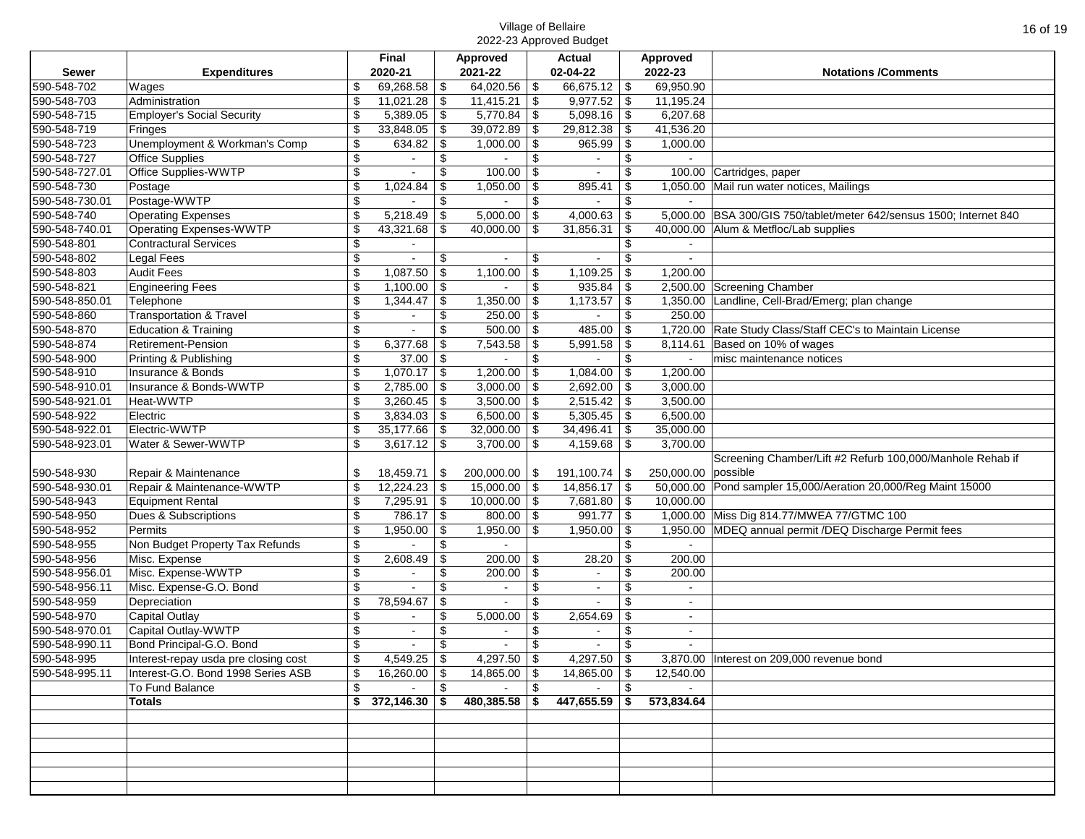|                |                                      |                                  | Final                   |               | Approved        |                         | Actual              |               | Approved                    |                                                                     |
|----------------|--------------------------------------|----------------------------------|-------------------------|---------------|-----------------|-------------------------|---------------------|---------------|-----------------------------|---------------------------------------------------------------------|
| <b>Sewer</b>   | <b>Expenditures</b>                  |                                  | 2020-21                 |               | 2021-22         |                         | 02-04-22            |               | 2022-23                     | <b>Notations /Comments</b>                                          |
| 590-548-702    | Wages                                | \$                               | 69,268.58 $\frac{1}{3}$ |               | $64,020.56$ \$  |                         | $66,675.12$ \$      |               | 69,950.90                   |                                                                     |
| 590-548-703    | Administration                       | \$                               | 11,021.28               | \$            | $11,415.21$ \\$ |                         | $9,977.52$ \\$      |               | 11,195.24                   |                                                                     |
| 590-548-715    | Employer's Social Security           | \$                               | $5,389.05$ \$           |               | $5,770.84$ \\$  |                         | $5,098.16$ \\$      |               | 6,207.68                    |                                                                     |
| 590-548-719    | Fringes                              | \$                               | 33,848.05               | \$            | 39,072.89       | \$                      | $29,812.38$ \$      |               | 41,536.20                   |                                                                     |
| 590-548-723    | Unemployment & Workman's Comp        | \$                               | 634.82                  | \$            | $1,000.00$ \ \$ |                         | $965.99$ \$         |               | 1.000.00                    |                                                                     |
| 590-548-727    | Office Supplies                      | \$                               |                         | \$            |                 | \$                      |                     | \$            |                             |                                                                     |
| 590-548-727.01 | Office Supplies-WWTP                 | \$                               |                         | \$            | 100.00          | \$                      | $\sim$              | \$            |                             | 100.00 Cartridges, paper                                            |
| 590-548-730    | Postage                              | \$                               | 1,024.84                | \$            | 1,050.00        | \$                      | 895.41              | \$            |                             | 1,050.00 Mail run water notices, Mailings                           |
| 590-548-730.01 | Postage-WWTP                         | \$                               |                         | \$            |                 | \$                      |                     | \$            |                             |                                                                     |
| 590-548-740    | <b>Operating Expenses</b>            | \$                               | 5,218.49                | \$            | 5,000.00        | \$                      | 4,000.63            | \$            |                             | 5,000.00 BSA 300/GIS 750/tablet/meter 642/sensus 1500; Internet 840 |
| 590-548-740.01 | Operating Expenses-WWTP              | \$                               | 43,321.68               | \$            | 40,000.00       | \$                      | 31,856.31           | -\$           |                             | 40,000.00 Alum & Metfloc/Lab supplies                               |
| 590-548-801    | Contractural Services                | \$                               |                         |               |                 |                         |                     | \$            |                             |                                                                     |
| 590-548-802    | Legal Fees                           | \$                               |                         | \$            |                 | \$                      |                     | \$            |                             |                                                                     |
| 590-548-803    | <b>Audit Fees</b>                    | \$                               | 1,087.50                | \$            | 1,100.00        | \$                      |                     |               | 1,200.00                    |                                                                     |
| 590-548-821    | <b>Engineering Fees</b>              | \$                               | 1,100.00                | \$            |                 | \$                      | $935.84$ \\$        |               |                             | 2,500.00 Screening Chamber                                          |
| 590-548-850.01 | Telephone                            | \$                               | 1,344.47                | \$            | 1,350.00        | \$                      | $1,173.57$ \\$      |               |                             | 1,350.00 Landline, Cell-Brad/Emerg; plan change                     |
| 590-548-860    | Transportation & Travel              | \$                               |                         | \$            | $250.00$ \ \$   |                         |                     | \$            | 250.00                      |                                                                     |
| 590-548-870    | Education & Training                 | \$                               |                         | \$            | $500.00$ \$     |                         | $485.00$ \ \$       |               |                             | 1,720.00 Rate Study Class/Staff CEC's to Maintain License           |
| 590-548-874    | Retirement-Pension                   | \$                               | 6,377.68                | \$            | 7,543.58        | \$                      | 5,991.58            | \$            |                             | 8,114.61 Based on 10% of wages                                      |
| 590-548-900    | Printing & Publishing                | $\overline{\boldsymbol{\theta}}$ | $37.00$ \$              |               |                 | \$                      |                     | \$            | $\mathcal{L}^{\mathcal{L}}$ | misc maintenance notices                                            |
| 590-548-910    | Insurance & Bonds                    | \$                               | $1,070.17$ \\$          |               | $1,200.00$ \\$  |                         | $1,084.00$ \ \$     |               | 1,200.00                    |                                                                     |
| 590-548-910.01 | Insurance & Bonds-WWTP               | \$                               | $2,785.00$ \$           |               | $3,000.00$ \$   |                         | $2,692.00$ \ \$     |               | 3,000.00                    |                                                                     |
| 590-548-921.01 | Heat-WWTP                            | \$                               | $3,260.45$ \$           |               | $3,500.00$ \$   |                         | $2,515.42$ \\$      |               | 3,500.00                    |                                                                     |
| 590-548-922    | Electric                             | \$                               | $3,834.03$ \$           |               | $6,500.00$ \$   |                         | $5,305.45$ \$       |               | 6,500.00                    |                                                                     |
| 590-548-922.01 | Electric-WWTP                        | \$                               | 35,177.66 \$            |               | $32,000.00$ \$  |                         | $34,496.41$ \$      |               | 35,000.00                   |                                                                     |
| 590-548-923.01 | Water & Sewer-WWTP                   | \$                               | 3,617.12                | \$            | $3,700.00$ \\$  |                         | 4,159.68 $\vert$ \$ |               | 3,700.00                    |                                                                     |
|                |                                      |                                  |                         |               |                 |                         |                     |               |                             | Screening Chamber/Lift #2 Refurb 100,000/Manhole Rehab if           |
| 590-548-930    | Repair & Maintenance                 | \$                               | 18,459.71               | \$            | 200,000.00      | \$                      | 191,100.74          | \$            | 250,000.00                  | possible                                                            |
| 590-548-930.01 | Repair & Maintenance-WWTP            | \$                               |                         |               | $15,000.00$ \\$ |                         | $14,856.17$ \\$     |               |                             | 50,000.00 Pond sampler 15,000/Aeration 20,000/Reg Maint 15000       |
| 590-548-943    | <b>Equipment Rental</b>              | \$                               | $7,295.91$ \$           |               | $10,000.00$ \$  |                         | $7,681.80$ \\$      |               | 10,000.00                   |                                                                     |
| 590-548-950    | Dues & Subscriptions                 | \$                               | 786.17                  | \$            | $800.00$ \$     |                         | $991.77$ \\$        |               |                             | 1,000.00 Miss Dig 814.77/MWEA 77/GTMC 100                           |
| 590-548-952    | Permits                              | \$                               | 1,950.00                | \$            | 1,950.00        | -\$                     | $1,950.00$ \ \$     |               |                             | 1,950.00 MDEQ annual permit /DEQ Discharge Permit fees              |
| 590-548-955    | Non Budget Property Tax Refunds      | \$                               |                         | \$            |                 |                         |                     | \$            |                             |                                                                     |
| 590-548-956    | Misc. Expense                        | \$                               | 2,608.49                | \$            | $200.00$ \ \$   |                         | 28.20               | -\$           | 200.00                      |                                                                     |
| 590-548-956.01 | Misc. Expense-WWTP                   | \$                               |                         | \$            | 200.00          | \$                      |                     | \$            | 200.00                      |                                                                     |
| 590-548-956.11 | Misc. Expense-G.O. Bond              | \$                               |                         | \$            | $\sim$          | \$                      | $\sim$              | \$            | $\sim$                      |                                                                     |
| 590-548-959    | Depreciation                         | \$                               | 78,594.67               | \$            |                 | \$                      |                     | \$            |                             |                                                                     |
| 590-548-970    | Capital Outlay                       | \$                               | $\sim$                  | \$            | 5,000.00        | \$                      | 2,654.69            | \$            | $\sim$                      |                                                                     |
| 590-548-970.01 | Capital Outlay-WWTP                  | \$                               |                         | \$            |                 | \$                      |                     | \$            | $\blacksquare$              |                                                                     |
| 590-548-990.11 | Bond Principal-G.O. Bond             | \$                               |                         | \$            |                 | \$                      | $\sim$              | \$            |                             |                                                                     |
| 590-548-995    | Interest-repay usda pre closing cost | \$                               | 4,549.25                | \$            | 4,297.50        | \$                      | 4,297.50            | \$            |                             | 3,870.00 Interest on 209,000 revenue bond                           |
| 590-548-995.11 | Interest-G.O. Bond 1998 Series ASB   | \$                               | $16,260.00$ \$          |               | $14,865.00$ \$  |                         | $14,865.00$ \$      |               | 12,540.00                   |                                                                     |
|                | To Fund Balance                      | \$                               | $\Delta \sim 10$        | $\sqrt[6]{2}$ | $\sim$          | $\overline{\mathbf{3}}$ | $\sim$              | $\sqrt[6]{3}$ |                             |                                                                     |
|                | <b>Totals</b>                        |                                  | \$372,146.30            |               | 480,385.58      | \$                      | $447,655.59$ \$     |               | 573,834.64                  |                                                                     |
|                |                                      |                                  |                         |               |                 |                         |                     |               |                             |                                                                     |
|                |                                      |                                  |                         |               |                 |                         |                     |               |                             |                                                                     |
|                |                                      |                                  |                         |               |                 |                         |                     |               |                             |                                                                     |
|                |                                      |                                  |                         |               |                 |                         |                     |               |                             |                                                                     |
|                |                                      |                                  |                         |               |                 |                         |                     |               |                             |                                                                     |
|                |                                      |                                  |                         |               |                 |                         |                     |               |                             |                                                                     |
|                |                                      |                                  |                         |               |                 |                         |                     |               |                             |                                                                     |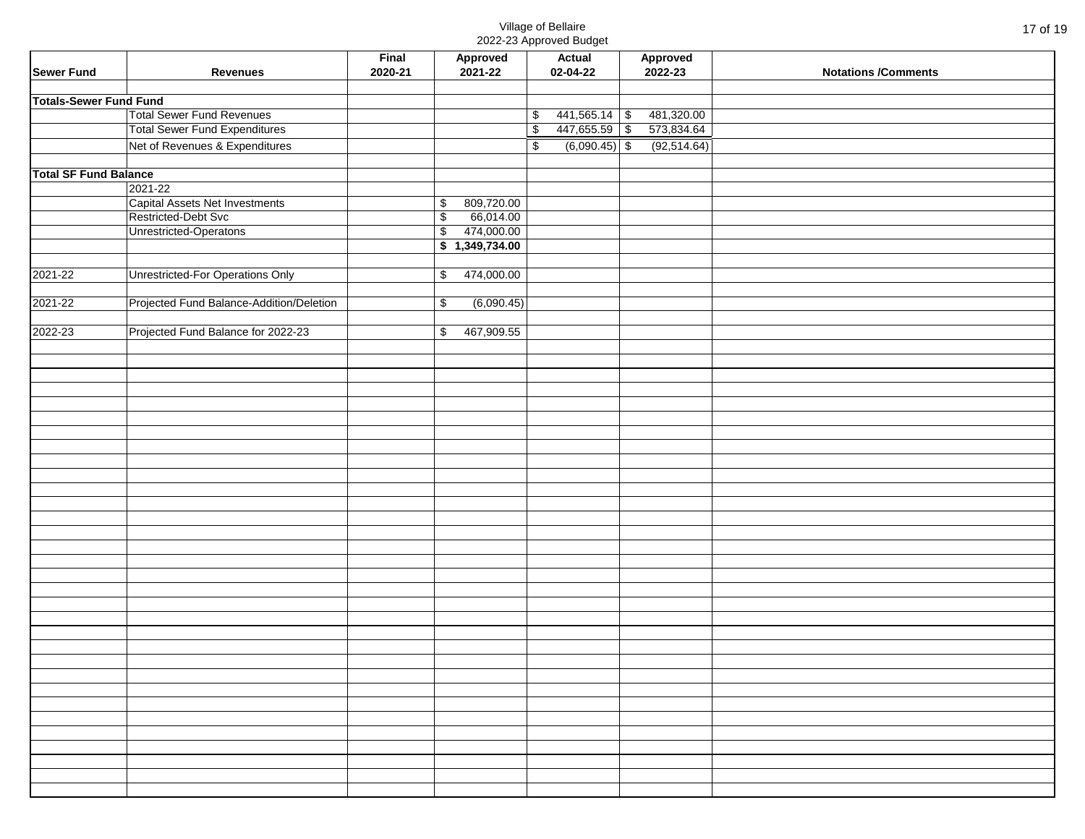| <b>Sewer Fund</b>             | <b>Revenues</b>                          | Final<br>2020-21 | <b>Approved</b><br>2021-22             | Actual<br>02-04-22                           | Approved<br>2022-23 | <b>Notations /Comments</b> |
|-------------------------------|------------------------------------------|------------------|----------------------------------------|----------------------------------------------|---------------------|----------------------------|
|                               |                                          |                  |                                        |                                              |                     |                            |
| <b>Totals-Sewer Fund Fund</b> |                                          |                  |                                        |                                              |                     |                            |
|                               | <b>Total Sewer Fund Revenues</b>         |                  |                                        | $441,565.14$ \$<br>\$                        | 481,320.00          |                            |
|                               | <b>Total Sewer Fund Expenditures</b>     |                  |                                        | $447,655.59$ \$<br>$\overline{\$}$           | 573,834.64          |                            |
|                               | Net of Revenues & Expenditures           |                  |                                        | $(6,090.45)$ \$<br>$\boldsymbol{\mathsf{D}}$ | (92, 514.64)        |                            |
|                               |                                          |                  |                                        |                                              |                     |                            |
| <b>Total SF Fund Balance</b>  |                                          |                  |                                        |                                              |                     |                            |
|                               | 2021-22                                  |                  |                                        |                                              |                     |                            |
|                               | Capital Assets Net Investments           |                  | 809,720.00<br>\$                       |                                              |                     |                            |
|                               | Restricted-Debt Svc                      |                  | 66,014.00<br>$\overline{\mathcal{L}}$  |                                              |                     |                            |
|                               | Unrestricted-Operatons                   |                  | 474,000.00<br>$\overline{\mathcal{E}}$ |                                              |                     |                            |
|                               |                                          |                  | \$1,349,734.00                         |                                              |                     |                            |
|                               |                                          |                  |                                        |                                              |                     |                            |
| 2021-22                       | <b>Unrestricted-For Operations Only</b>  |                  | 474,000.00<br>\$                       |                                              |                     |                            |
|                               |                                          |                  |                                        |                                              |                     |                            |
| 2021-22                       | Projected Fund Balance-Addition/Deletion |                  | $\overline{\$}$<br>(6,090.45)          |                                              |                     |                            |
|                               |                                          |                  |                                        |                                              |                     |                            |
| 2022-23                       | Projected Fund Balance for 2022-23       |                  | $$\mathbb{S}$$<br>467,909.55           |                                              |                     |                            |
|                               |                                          |                  |                                        |                                              |                     |                            |
|                               |                                          |                  |                                        |                                              |                     |                            |
|                               |                                          |                  |                                        |                                              |                     |                            |
|                               |                                          |                  |                                        |                                              |                     |                            |
|                               |                                          |                  |                                        |                                              |                     |                            |
|                               |                                          |                  |                                        |                                              |                     |                            |
|                               |                                          |                  |                                        |                                              |                     |                            |
|                               |                                          |                  |                                        |                                              |                     |                            |
|                               |                                          |                  |                                        |                                              |                     |                            |
|                               |                                          |                  |                                        |                                              |                     |                            |
|                               |                                          |                  |                                        |                                              |                     |                            |
|                               |                                          |                  |                                        |                                              |                     |                            |
|                               |                                          |                  |                                        |                                              |                     |                            |
|                               |                                          |                  |                                        |                                              |                     |                            |
|                               |                                          |                  |                                        |                                              |                     |                            |
|                               |                                          |                  |                                        |                                              |                     |                            |
|                               |                                          |                  |                                        |                                              |                     |                            |
|                               |                                          |                  |                                        |                                              |                     |                            |
|                               |                                          |                  |                                        |                                              |                     |                            |
|                               |                                          |                  |                                        |                                              |                     |                            |
|                               |                                          |                  |                                        |                                              |                     |                            |
|                               |                                          |                  |                                        |                                              |                     |                            |
|                               |                                          |                  |                                        |                                              |                     |                            |
|                               |                                          |                  |                                        |                                              |                     |                            |
|                               |                                          |                  |                                        |                                              |                     |                            |
|                               |                                          |                  |                                        |                                              |                     |                            |
|                               |                                          |                  |                                        |                                              |                     |                            |
|                               |                                          |                  |                                        |                                              |                     |                            |
|                               |                                          |                  |                                        |                                              |                     |                            |
|                               |                                          |                  |                                        |                                              |                     |                            |
|                               |                                          |                  |                                        |                                              |                     |                            |
|                               |                                          |                  |                                        |                                              |                     |                            |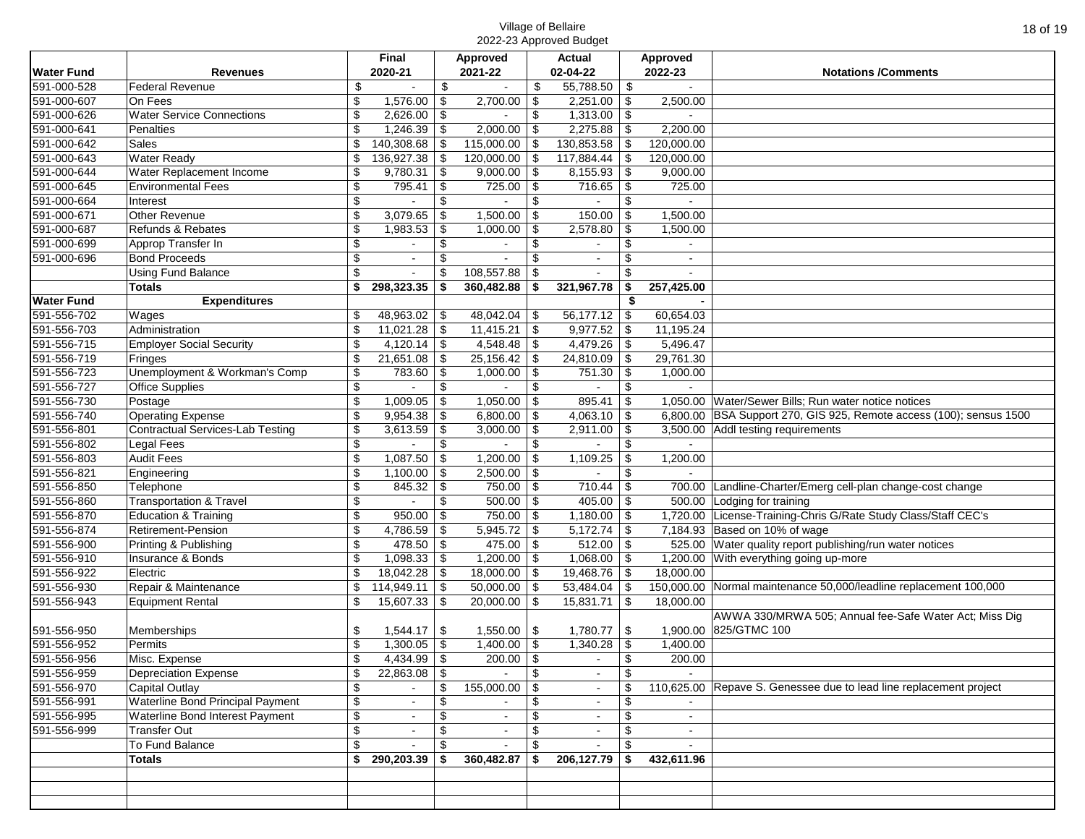|                   |                                    | <b>Final</b>         |                 | Approved               |     | Actual          |                                        | Approved     |                                                                    |
|-------------------|------------------------------------|----------------------|-----------------|------------------------|-----|-----------------|----------------------------------------|--------------|--------------------------------------------------------------------|
| <b>Water Fund</b> | <b>Revenues</b>                    | 2020-21              |                 | 2021-22                |     | 02-04-22        |                                        | 2022-23      | <b>Notations /Comments</b>                                         |
| 591-000-528       | Federal Revenue                    | \$                   | \$              |                        | \$  | 55,788.50       | \$                                     | $\mathbf{r}$ |                                                                    |
| 591-000-607       | On Fees                            | \$<br>1,576.00       | \$              | 2,700.00               | \$  | 2,251.00        | \$                                     | 2,500.00     |                                                                    |
| 591-000-626       | <b>Water Service Connections</b>   | 2,626.00<br>\$       | \$              |                        | \$  | 1,313.00        | \$                                     |              |                                                                    |
| 591-000-641       | Penalties                          | \$<br>1,246.39       | \$              | 2,000.00               | \$  | 2,275.88        | \$                                     | 2,200.00     |                                                                    |
| 591-000-642       | Sales                              | 140,308.68<br>\$     | \$              | 115,000.00             | \$  | 130,853.58      | \$                                     | 120,000.00   |                                                                    |
| 591-000-643       | <b>Water Ready</b>                 | 136,927.38<br>\$     | \$              | 120,000.00             | \$  | 117,884.44      | \$                                     | 120,000.00   |                                                                    |
| 591-000-644       | Water Replacement Income           | 9,780.31<br>\$       | \$              | 9,000.00               | \$  | 8,155.93        | $\overline{\boldsymbol{\mathfrak{s}}}$ | 9,000.00     |                                                                    |
| 591-000-645       | <b>Environmental Fees</b>          | 795.41<br>\$         | \$              | 725.00                 | \$  | 716.65          | \$                                     | 725.00       |                                                                    |
| 591-000-664       | Interest                           | \$                   | \$              |                        | \$  | $\blacksquare$  | \$                                     | $\mathbf{r}$ |                                                                    |
| 591-000-671       | Other Revenue                      | \$<br>3,079.65       | \$              | 1,500.00               | \$  | 150.00          | \$                                     | 1,500.00     |                                                                    |
| 591-000-687       | Refunds & Rebates                  | \$<br>1,983.53       | \$              | 1,000.00               | \$  | 2,578.80        | \$                                     | 1,500.00     |                                                                    |
| 591-000-699       | Approp Transfer In                 | \$                   | \$              |                        | \$  |                 | \$                                     |              |                                                                    |
| 591-000-696       | <b>Bond Proceeds</b>               | \$<br>$\sim$         | \$              | $\blacksquare$         | \$  | $\mathbf{u}$    | \$                                     | $\sim$       |                                                                    |
|                   | <b>Using Fund Balance</b>          | \$                   | \$              | 108,557.88             | \$  |                 | \$                                     |              |                                                                    |
|                   | <b>Totals</b>                      | \$<br>298,323.35     | \$              | 360,482.88             | \$  | 321,967.78      | \$                                     | 257,425.00   |                                                                    |
| <b>Water Fund</b> | <b>Expenditures</b>                |                      |                 |                        |     |                 | \$                                     |              |                                                                    |
| 591-556-702       |                                    |                      |                 |                        |     |                 | \$                                     | 60,654.03    |                                                                    |
|                   | Wages<br>Administration            | \$<br>48,963.02      | \$              | 48,042.04<br>11,415.21 | \$  | 56,177.12       |                                        |              |                                                                    |
| 591-556-703       |                                    | \$<br>11,021.28      | \$              |                        | \$  | 9,977.52        | \$                                     | 11,195.24    |                                                                    |
| 591-556-715       | <b>Employer Social Security</b>    | \$<br>4,120.14       | \$              | 4,548.48               | \$  | 4,479.26        | \$                                     | 5,496.47     |                                                                    |
| 591-556-719       | Fringes                            | \$<br>21,651.08      | \$              | 25,156.42              | \$  | 24,810.09       | \$                                     | 29,761.30    |                                                                    |
| 591-556-723       | Unemployment & Workman's Comp      | \$<br>783.60         | \$              | 1,000.00               | \$  | 751.30          | \$                                     | 1,000.00     |                                                                    |
| 591-556-727       | <b>Office Supplies</b>             | \$                   | \$              |                        | \$  |                 | \$                                     |              |                                                                    |
| 591-556-730       | Postage                            | \$<br>1,009.05       | \$              | 1,050.00               | \$  | 895.41          | \$                                     | 1,050.00     | Water/Sewer Bills; Run water notice notices                        |
| 591-556-740       | <b>Operating Expense</b>           | \$<br>9,954.38       | \$              | 6,800.00               | \$  | 4,063.10        | \$                                     | 6,800.00     | BSA Support 270, GIS 925, Remote access (100); sensus 1500         |
| 591-556-801       | Contractual Services-Lab Testing   | \$<br>3,613.59       | \$              | 3,000.00               | \$  | 2,911.00        | \$                                     | 3,500.00     | Addl testing requirements                                          |
| 591-556-802       | Legal Fees                         | \$                   | \$              |                        | \$  |                 | \$                                     |              |                                                                    |
| 591-556-803       | <b>Audit Fees</b>                  | 1,087.50<br>\$       | \$              | 1,200.00               | \$  | 1,109.25        | \$                                     | 1,200.00     |                                                                    |
| 591-556-821       | Engineering                        | \$<br>1,100.00       | \$              | 2,500.00               | \$  |                 | \$                                     |              |                                                                    |
| 591-556-850       | Telephone                          | 845.32<br>\$         | \$              | 750.00                 | \$  | 710.44          | \$                                     | 700.00       | Landline-Charter/Emerg cell-plan change-cost change                |
| 591-556-860       | <b>Transportation &amp; Travel</b> | \$                   | \$              | 500.00                 | \$  | $405.00$ \$     |                                        |              | 500.00 Lodging for training                                        |
| 591-556-870       | Education & Training               | 950.00<br>\$         | \$              | 750.00                 | \$  | $1,180.00$ \$   |                                        |              | 1,720.00 License-Training-Chris G/Rate Study Class/Staff CEC's     |
| 591-556-874       | Retirement-Pension                 | 4,786.59<br>\$       | \$              | 5,945.72               | \$  | $5,172.74$ \\$  |                                        |              | 7,184.93 Based on 10% of wage                                      |
| 591-556-900       | Printing & Publishing              | 478.50<br>\$         | \$              | 475.00                 | \$  | 512.00          | \$                                     | 525.00       | Water quality report publishing/run water notices                  |
| 591-556-910       | Insurance & Bonds                  | 1,098.33<br>\$       | \$              | 1,200.00               | \$  | 1,068.00        | \$                                     | 1,200.00     | With everything going up-more                                      |
| 591-556-922       | Electric                           | 18,042.28<br>\$      | \$              | 18,000.00              | \$  | 19,468.76       | \$                                     | 18,000.00    |                                                                    |
| 591-556-930       | Repair & Maintenance               | 114,949.11<br>\$     | $\overline{\$}$ | 50,000.00              | -\$ | $53,484.04$ \\$ |                                        | 150,000.00   | Normal maintenance 50,000/leadline replacement 100,000             |
| 591-556-943       | <b>Equipment Rental</b>            | 15,607.33<br>\$      | \$              | 20,000.00              | \$  | 15,831.71       | \$                                     | 18,000.00    |                                                                    |
|                   |                                    |                      |                 |                        |     |                 |                                        |              | AWWA 330/MRWA 505; Annual fee-Safe Water Act; Miss Dig             |
| 591-556-950       | Memberships                        | \$<br>1,544.17       | \$              | 1,550.00               | -\$ | 1,780.77        | \$                                     | 1,900.00     | 825/GTMC 100                                                       |
| 591-556-952       | Permits                            | \$<br>1,300.05       | $\sqrt[3]{3}$   | 1,400.00               | \$  | 1,340.28        | \$                                     | 1,400.00     |                                                                    |
| 591-556-956       | Misc. Expense                      | \$<br>4,434.99       | \$              | 200.00                 | \$  |                 | \$                                     | 200.00       |                                                                    |
| 591-556-959       | Depreciation Expense               | $22,863.08$ \$<br>\$ |                 | $\sim$                 | \$  | $\sim$          | \$                                     |              |                                                                    |
| 591-556-970       | Capital Outlay                     | \$                   | \$              | 155,000.00             | \$  |                 | \$                                     |              | 110,625.00 Repave S. Genessee due to lead line replacement project |
| 591-556-991       | Waterline Bond Principal Payment   | \$<br>$\sim$         | \$              |                        | \$  | $\sim$          | \$                                     |              |                                                                    |
| 591-556-995       | Waterline Bond Interest Payment    | \$<br>$\blacksquare$ | \$              | $\blacksquare$         | \$  | $\sim$          | \$                                     | $\sim$       |                                                                    |
| 591-556-999       | <b>Transfer Out</b>                | \$<br>$\sim$         | \$              | $\sim$                 | \$  | $\sim$          | \$                                     | $\sim$       |                                                                    |
|                   | To Fund Balance                    | \$                   | \$              |                        |     |                 | \$                                     |              |                                                                    |
|                   | <b>Totals</b>                      | \$<br>290,203.39     | \$              | 360,482.87             | \$  | 206,127.79      | \$                                     | 432,611.96   |                                                                    |
|                   |                                    |                      |                 |                        |     |                 |                                        |              |                                                                    |
|                   |                                    |                      |                 |                        |     |                 |                                        |              |                                                                    |
|                   |                                    |                      |                 |                        |     |                 |                                        |              |                                                                    |